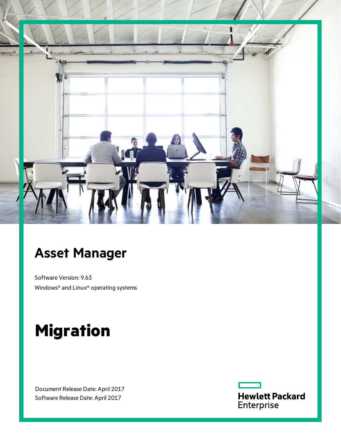

# **Asset Manager**

Software Version: 9.63 Windows® and Linux® operating systems

# **Migration**

Document Release Date: April 2017 Software Release Date: April 2017

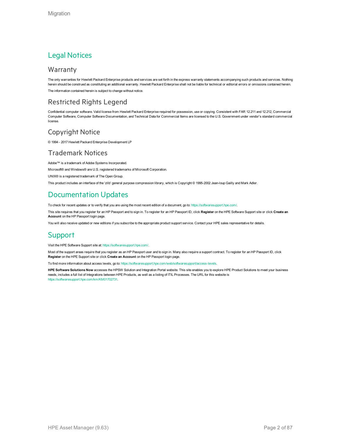### Legal Notices

#### **Warranty**

The only warranties for Hewlett Packard Enterprise products and services are set forth in the express warranty statements accompanying such products and services. Nothing herein should be construed as constituting an additional warranty. Hewlett Packard Enterprise shall not be liable for technical or editorial errors or omissions contained herein. The information contained herein is subject to change without notice.

### Restricted Rights Legend

Confidential computer software. Valid license from Hewlett Packard Enterprise required for possession, use or copying. Consistent with FAR 12.211 and 12.212, Commercial Computer Software, Computer Software Documentation, and Technical Data for Commercial Items are licensed to the U.S. Government under vendor's standard commercial license.

### Copyright Notice

© 1994 - 2017 Hewlett Packard Enterprise Development LP

### Trademark Notices

Adobe™ is a trademark of Adobe Systems Incorporated.

Microsoft® and Windows® are U.S. registered trademarks of Microsoft Corporation.

UNIX® is a registered trademark of The Open Group.

This product includes an interface of the 'zlib' general purpose compression library, which is Copyright © 1995-2002 Jean-loup Gailly and Mark Adler.

### Documentation Updates

To check for recent updates or to verify that you are using the most recent edition of a document, go to: <https://softwaresupport.hpe.com/>.

This site requires that you register for an HP Passport and to sign in. To register for an HP Passport ID, click **Register** on the HPE Software Support site or click **Create an Account** on the HP Passport login page.

You will also receive updated or new editions if you subscribe to the appropriate product support service. Contact your HPE sales representative for details.

### **Support**

Visit the HPE Software Support site at: <https://softwaresupport.hpe.com/>.

Most of the support areas require that you register as an HP Passport user and to sign in. Many also require a support contract. To register for an HP Passport ID, click **Register** on the HPE Support site or click **Create an Account** on the HP Passport login page.

To find more information about access levels, go to: <https://softwaresupport.hpe.com/web/softwaresupport/access-levels>.

**HPE Software Solutions Now** accesses the HPSW Solution and Integration Portal website. This site enables you to explore HPE Product Solutions to meet your business needs, includes a full list of Integrations between HPE Products, as well as a listing of ITIL Processes. The URL for this website is [https://softwaresupport.hpe.com/km/KM01702731.](https://softwaresupport.hpe.com/km/KM01702731)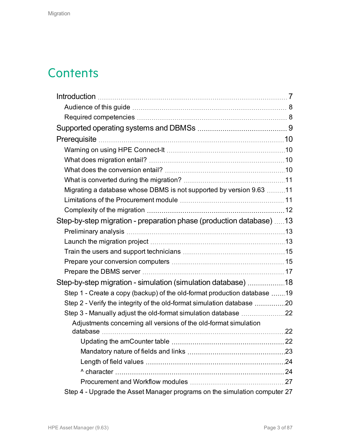# **Contents**

| Migrating a database whose DBMS is not supported by version 9.63 11       |  |
|---------------------------------------------------------------------------|--|
|                                                                           |  |
|                                                                           |  |
| Step-by-step migration - preparation phase (production database) 13       |  |
|                                                                           |  |
|                                                                           |  |
|                                                                           |  |
|                                                                           |  |
|                                                                           |  |
| Step-by-step migration - simulation (simulation database) 18              |  |
| Step 1 - Create a copy (backup) of the old-format production database 19  |  |
| Step 2 - Verify the integrity of the old-format simulation database 20    |  |
|                                                                           |  |
| Adjustments concerning all versions of the old-format simulation          |  |
|                                                                           |  |
|                                                                           |  |
|                                                                           |  |
|                                                                           |  |
|                                                                           |  |
|                                                                           |  |
| Step 4 - Upgrade the Asset Manager programs on the simulation computer 27 |  |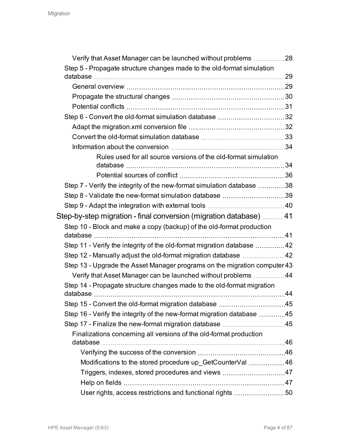| Verify that Asset Manager can be launched without problems 28             |     |
|---------------------------------------------------------------------------|-----|
| Step 5 - Propagate structure changes made to the old-format simulation    |     |
|                                                                           |     |
|                                                                           |     |
|                                                                           |     |
|                                                                           |     |
| Step 6 - Convert the old-format simulation database 32                    |     |
|                                                                           |     |
|                                                                           |     |
|                                                                           |     |
| Rules used for all source versions of the old-format simulation           |     |
|                                                                           |     |
| Step 7 - Verify the integrity of the new-format simulation database 38    |     |
| Step 8 - Validate the new-format simulation database 39                   |     |
|                                                                           |     |
| Step-by-step migration - final conversion (migration database) 41         |     |
| Step 10 - Block and make a copy (backup) of the old-format production     |     |
| Step 11 - Verify the integrity of the old-format migration database 42    |     |
|                                                                           |     |
| Step 13 - Upgrade the Asset Manager programs on the migration computer 43 |     |
| Verify that Asset Manager can be launched without problems  44            |     |
| Step 14 - Propagate structure changes made to the old-format migration    |     |
|                                                                           | .44 |
| Step 15 - Convert the old-format migration database 45                    |     |
| Step 16 - Verify the integrity of the new-format migration database 45    |     |
| Step 17 - Finalize the new-format migration database 45                   |     |
| Finalizations concerning all versions of the old-format production        |     |
|                                                                           |     |
|                                                                           |     |
| Modifications to the stored procedure up GetCounterVal 46                 |     |
|                                                                           |     |
|                                                                           |     |
| User rights, access restrictions and functional rights 50                 |     |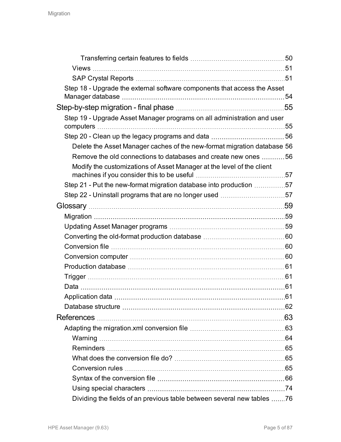| Step 18 - Upgrade the external software components that access the Asset |  |
|--------------------------------------------------------------------------|--|
|                                                                          |  |
|                                                                          |  |
| Step 19 - Upgrade Asset Manager programs on all administration and user  |  |
|                                                                          |  |
|                                                                          |  |
| Delete the Asset Manager caches of the new-format migration database 56  |  |
| Remove the old connections to databases and create new ones 56           |  |
| Modify the customizations of Asset Manager at the level of the client    |  |
|                                                                          |  |
| Step 21 - Put the new-format migration database into production 57       |  |
| Step 22 - Uninstall programs that are no longer used 57                  |  |
|                                                                          |  |
|                                                                          |  |
|                                                                          |  |
|                                                                          |  |
|                                                                          |  |
|                                                                          |  |
|                                                                          |  |
|                                                                          |  |
|                                                                          |  |
|                                                                          |  |
|                                                                          |  |
|                                                                          |  |
|                                                                          |  |
|                                                                          |  |
|                                                                          |  |
|                                                                          |  |
|                                                                          |  |
|                                                                          |  |
|                                                                          |  |
| Dividing the fields of an previous table between several new tables 76   |  |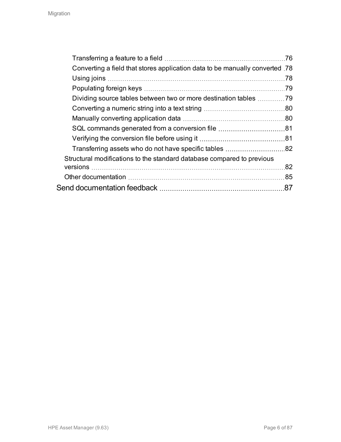|                                                                             | 76  |
|-----------------------------------------------------------------------------|-----|
| Converting a field that stores application data to be manually converted 78 |     |
|                                                                             | .78 |
|                                                                             | 79  |
| Dividing source tables between two or more destination tables               | -79 |
|                                                                             |     |
|                                                                             |     |
|                                                                             |     |
|                                                                             |     |
|                                                                             |     |
| Structural modifications to the standard database compared to previous      |     |
|                                                                             | 82  |
|                                                                             |     |
|                                                                             | 87  |
|                                                                             |     |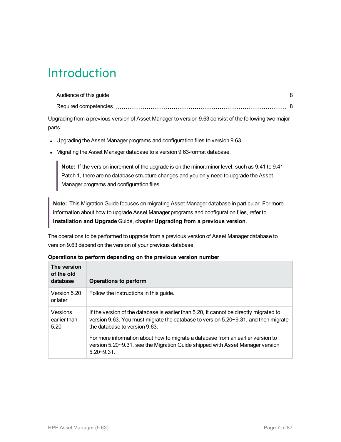# <span id="page-6-0"></span>Introduction

Upgrading from a previous version of Asset Manager to version 9.63 consist of the following two major parts:

- Upgrading the Asset Manager programs and configuration files to version 9.63.
- Migrating the Asset Manager database to a version 9.63-format database.

**Note:** If the version increment of the upgrade is on the minor.minor level, such as 9.41 to 9.41 Patch 1, there are no database structure changes and you only need to upgrade the Asset Manager programs and configuration files.

**Note:** This Migration Guide focuses on migrating Asset Manager database in particular. For more information about how to upgrade Asset Manager programs and configuration files, refer to **Installation and Upgrade** Guide, chapter **Upgrading from a previous version**.

The operations to be performed to upgrade from a previous version of Asset Manager database to version 9.63 depend on the version of your previous database.

| The version<br>of the old<br>database                                                                                                                                                                                                             | Operations to perform                                                                                                                                                             |  |
|---------------------------------------------------------------------------------------------------------------------------------------------------------------------------------------------------------------------------------------------------|-----------------------------------------------------------------------------------------------------------------------------------------------------------------------------------|--|
| Version 5.20<br>or later                                                                                                                                                                                                                          | Follow the instructions in this guide.                                                                                                                                            |  |
| Versions<br>If the version of the database is earlier than 5.20, it cannot be directly migrated to<br>version 9.63. You must migrate the database to version 5.20~9.31, and then migrate<br>earlier than<br>the database to version 9.63.<br>5.20 |                                                                                                                                                                                   |  |
|                                                                                                                                                                                                                                                   | For more information about how to migrate a database from an earlier version to<br>version 5.20~9.31, see the Migration Guide shipped with Asset Manager version<br>$5.20 - 9.31$ |  |

#### **Operations to perform depending on the previous version number**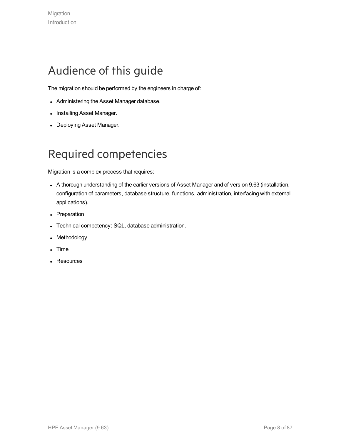## <span id="page-7-0"></span>Audience of this guide

The migration should be performed by the engineers in charge of:

- Administering the Asset Manager database.
- Installing Asset Manager.
- Deploying Asset Manager.

## <span id="page-7-1"></span>Required competencies

Migration is a complex process that requires:

- A thorough understanding of the earlier versions of Asset Manager and of version 9.63 (installation, configuration of parameters, database structure, functions, administration, interfacing with external applications).
- Preparation
- Technical competency: SQL, database administration.
- Methodology
- **Time**
- Resources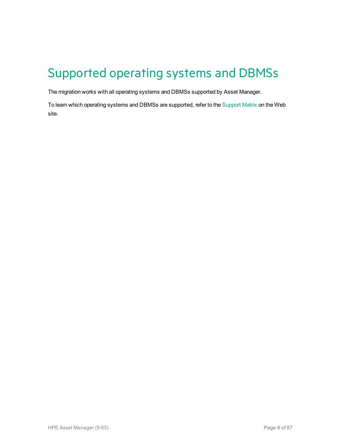# <span id="page-8-0"></span>Supported operating systems and DBMSs

The migration works with all operating systems and DBMSs supported by Asset Manager.

To learn which operating systems and DBMSs are supported, refer to the [Support](https://softwaresupport.hp.com/group/softwaresupport/support-matrices) Matrix on the Web site.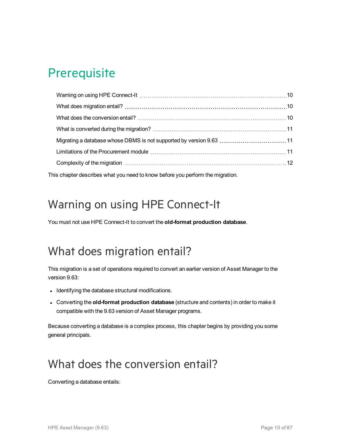# <span id="page-9-0"></span>**Prerequisite**

This chapter describes what you need to know before you perform the migration.

## <span id="page-9-1"></span>Warning on using HPE Connect-It

You must not use HPE Connect-It to convert the **old-format production database**.

## <span id="page-9-2"></span>What does migration entail?

This migration is a set of operations required to convert an earlier version of Asset Manager to the version 9.63:

- Identifying the database structural modifications.
- <sup>l</sup> Converting the **old-format production database** (structure and contents) in order to make it compatible with the 9.63 version of Asset Manager programs.

Because converting a database is a complex process, this chapter begins by providing you some general principals.

## <span id="page-9-3"></span>What does the conversion entail?

Converting a database entails: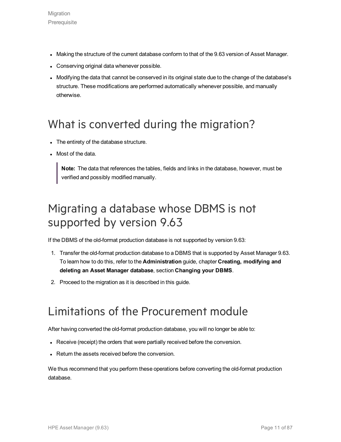- Making the structure of the current database conform to that of the 9.63 version of Asset Manager.
- Conserving original data whenever possible.
- Modifying the data that cannot be conserved in its original state due to the change of the database's structure. These modifications are performed automatically whenever possible, and manually otherwise.

### <span id="page-10-0"></span>What is converted during the migration?

- The entirety of the database structure.
- Most of the data.

**Note:** The data that references the tables, fields and links in the database, however, must be verified and possibly modified manually.

## <span id="page-10-1"></span>Migrating a database whose DBMS is not supported by version 9.63

If the DBMS of the old-format production database is not supported by version 9.63:

- 1. Transfer the old-format production database to a DBMS that is supported by Asset Manager 9.63. To learn how to do this, refer to the **Administration** guide, chapter **Creating, modifying and deleting an Asset Manager database**, section **Changing your DBMS**.
- 2. Proceed to the migration as it is described in this guide.

### <span id="page-10-2"></span>Limitations of the Procurement module

After having converted the old-format production database, you will no longer be able to:

- Receive (receipt) the orders that were partially received before the conversion.
- Return the assets received before the conversion.

We thus recommend that you perform these operations before converting the old-format production database.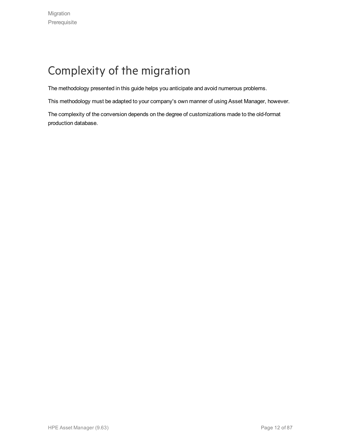# <span id="page-11-0"></span>Complexity of the migration

The methodology presented in this guide helps you anticipate and avoid numerous problems.

This methodology must be adapted to your company's own manner of using Asset Manager, however.

The complexity of the conversion depends on the degree of customizations made to the old-format production database.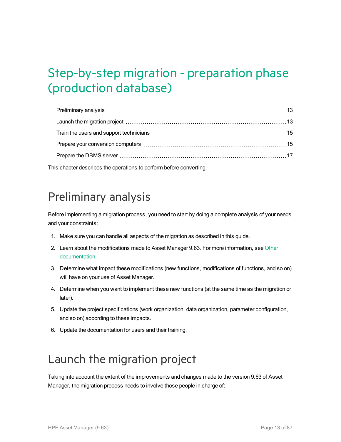# <span id="page-12-0"></span>Step-by-step migration - preparation phase (production database)

This chapter describes the operations to perform before converting.

### <span id="page-12-1"></span>Preliminary analysis

Before implementing a migration process, you need to start by doing a complete analysis of your needs and your constraints:

- 1. Make sure you can handle all aspects of the migration as described in this guide.
- 2. Learn about the modifications made to Asset Manager 9.63. For more information, see [Other](#page-84-0) [documentation](#page-84-0).
- 3. Determine what impact these modifications (new functions, modifications of functions, and so on) will have on your use of Asset Manager.
- 4. Determine when you want to implement these new functions (at the same time as the migration or later).
- 5. Update the project specifications (work organization, data organization, parameter configuration, and so on) according to these impacts.
- 6. Update the documentation for users and their training.

## <span id="page-12-2"></span>Launch the migration project

Taking into account the extent of the improvements and changes made to the version 9.63 of Asset Manager, the migration process needs to involve those people in charge of: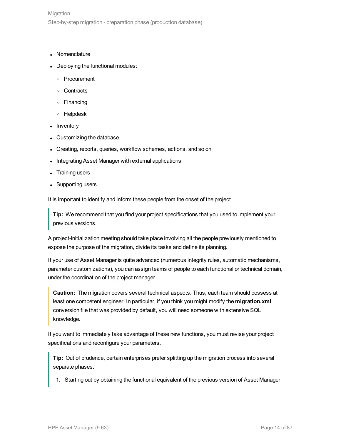- **Nomenclature**
- Deploying the functional modules:
	- <sup>o</sup> Procurement
	- <sup>o</sup> Contracts
	- <sup>o</sup> Financing
	- <sup>o</sup> Helpdesk
- Inventory
- Customizing the database.
- Creating, reports, queries, workflow schemes, actions, and so on.
- Integrating Asset Manager with external applications.
- **Training users**
- Supporting users

It is important to identify and inform these people from the onset of the project.

**Tip:** We recommend that you find your project specifications that you used to implement your previous versions.

A project-initialization meeting should take place involving all the people previously mentioned to expose the purpose of the migration, divide its tasks and define its planning.

If your use of Asset Manager is quite advanced (numerous integrity rules, automatic mechanisms, parameter customizations), you can assign teams of people to each functional or technical domain, under the coordination of the project manager.

**Caution:** The migration covers several technical aspects. Thus, each team should possess at least one competent engineer. In particular, if you think you might modify the **migration.xml** conversion file that was provided by default, you will need someone with extensive SQL knowledge.

If you want to immediately take advantage of these new functions, you must revise your project specifications and reconfigure your parameters.

**Tip:** Out of prudence, certain enterprises prefer splitting up the migration process into several separate phases:

1. Starting out by obtaining the functional equivalent of the previous version of Asset Manager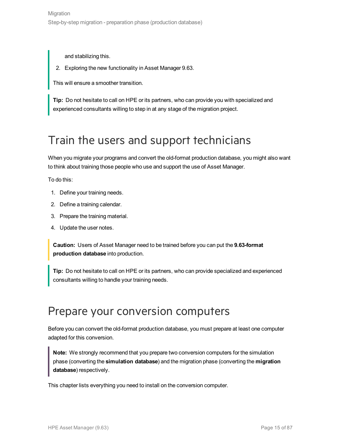and stabilizing this.

2. Exploring the new functionality in Asset Manager 9.63.

This will ensure a smoother transition.

**Tip:** Do not hesitate to call on HPE or its partners, who can provide you with specialized and experienced consultants willing to step in at any stage of the migration project.

## <span id="page-14-0"></span>Train the users and support technicians

When you migrate your programs and convert the old-format production database, you might also want to think about training those people who use and support the use of Asset Manager.

To do this:

- 1. Define your training needs.
- 2. Define a training calendar.
- 3. Prepare the training material.
- 4. Update the user notes.

**Caution:** Users of Asset Manager need to be trained before you can put the **9.63-format production database** into production.

**Tip:** Do not hesitate to call on HPE or its partners, who can provide specialized and experienced consultants willing to handle your training needs.

### <span id="page-14-1"></span>Prepare your conversion computers

Before you can convert the old-format production database, you must prepare at least one computer adapted for this conversion.

**Note:** We strongly recommend that you prepare two conversion computers for the simulation phase (converting the **simulation database**) and the migration phase (converting the **migration database**) respectively.

This chapter lists everything you need to install on the conversion computer.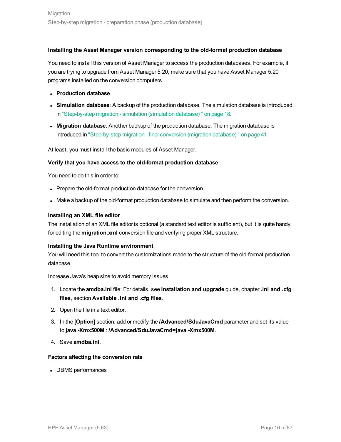#### **Installing the Asset Manager version corresponding to the old-format production database**

You need to install this version of Asset Manager to access the production databases. For example, if you are trying to upgrade from Asset Manager 5.20, make sure that you have Asset Manager 5.20 programs installed on the conversion computers.

- <sup>l</sup> **Production database**
- <sup>l</sup> **Simulation database**: A backup of the production database. The simulation database is introduced in ["Step-by-step](#page-17-0) migration - simulation (simulation database) " on page 18.
- **Migration database**: Another backup of the production database. The migration database is introduced in ["Step-by-step](#page-40-0) migration - final conversion (migration database) " on page 41

At least, you must install the basic modules of Asset Manager.

#### **Verify that you have access to the old-format production database**

You need to do this in order to:

- Prepare the old-format production database for the conversion.
- Make a backup of the old-format production database to simulate and then perform the conversion.

#### **Installing an XML file editor**

The installation of an XML file editor is optional (a standard text editor is sufficient), but it is quite handy for editing the **migration.xml** conversion file and verifying proper XML structure.

#### **Installing the Java Runtime environment**

You will need this tool to convert the customizations made to the structure of the old-format production database.

Increase Java's heap size to avoid memory issues:

- 1. Locate the **amdba.ini** file: For details, see **Installation and upgrade** guide, chapter **.ini and .cfg files**, section **Available .ini and .cfg files**.
- 2. Open the file in a text editor.
- 3. In the **[Option]** section, add or modify the **/Advanced/SduJavaCmd** parameter and set its value to **java -Xmx500M** : **/Advanced/SduJavaCmd=java -Xmx500M**.
- 4. Save **amdba.ini**.

#### **Factors affecting the conversion rate**

• DBMS performances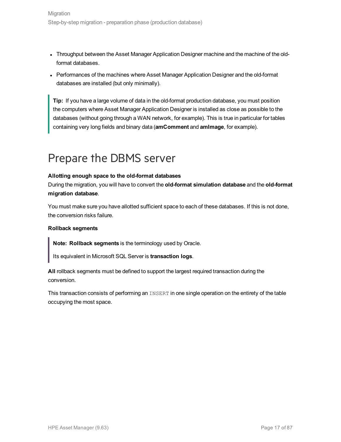- Throughput between the Asset Manager Application Designer machine and the machine of the oldformat databases.
- Performances of the machines where Asset Manager Application Designer and the old-format databases are installed (but only minimally).

**Tip:** If you have a large volume of data in the old-format production database, you must position the computers where Asset Manager Application Designer is installed as close as possible to the databases (without going through a WAN network, for example). This is true in particular for tables containing very long fields and binary data (**amComment** and **amImage**, for example).

### <span id="page-16-0"></span>Prepare the DBMS server

#### **Allotting enough space to the old-format databases**

During the migration, you will have to convert the **old-format simulation database** and the **old-format migration database**.

You must make sure you have allotted sufficient space to each of these databases. If this is not done, the conversion risks failure.

#### **Rollback segments**

**Note: Rollback segments** is the terminology used by Oracle.

Its equivalent in Microsoft SQL Server is **transaction logs**.

**All** rollback segments must be defined to support the largest required transaction during the conversion.

This transaction consists of performing an INSERT in one single operation on the entirety of the table occupying the most space.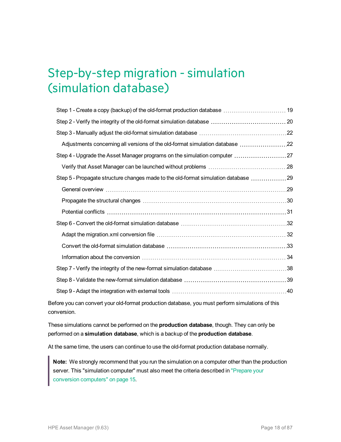# <span id="page-17-0"></span>Step-by-step migration - simulation (simulation database)

| Adjustments concerning all versions of the old-format simulation database 22                     |  |
|--------------------------------------------------------------------------------------------------|--|
|                                                                                                  |  |
|                                                                                                  |  |
| Step 5 - Propagate structure changes made to the old-format simulation database 29               |  |
|                                                                                                  |  |
|                                                                                                  |  |
|                                                                                                  |  |
|                                                                                                  |  |
|                                                                                                  |  |
|                                                                                                  |  |
|                                                                                                  |  |
|                                                                                                  |  |
|                                                                                                  |  |
|                                                                                                  |  |
| Before you can convert your old-format production database, you must perform simulations of this |  |

conversion.

These simulations cannot be performed on the **production database**, though. They can only be performed on a **simulation database**, which is a backup of the **production database**.

At the same time, the users can continue to use the old-format production database normally.

**Note:** We strongly recommend that you run the simulation on a computer other than the production server. This "simulation computer" must also meet the criteria described in ["Prepare](#page-14-1) your conversion [computers"](#page-14-1) on page 15.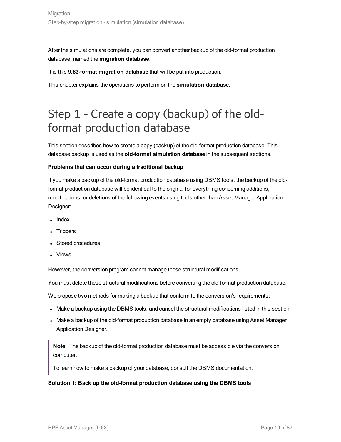After the simulations are complete, you can convert another backup of the old-format production database, named the **migration database**.

It is this **9.63-format migration database** that will be put into production.

This chapter explains the operations to perform on the **simulation database**.

## <span id="page-18-0"></span>Step 1 - Create a copy (backup) of the oldformat production database

This section describes how to create a copy (backup) of the old-format production database. This database backup is used as the **old-format simulation database** in the subsequent sections.

#### **Problems that can occur during a traditional backup**

If you make a backup of the old-format production database using DBMS tools, the backup of the oldformat production database will be identical to the original for everything concerning additions, modifications, or deletions of the following events using tools other than Asset Manager Application Designer:

- $\blacksquare$  Index
- **Triggers**
- Stored procedures
- **Views**

However, the conversion program cannot manage these structural modifications.

You must delete these structural modifications before converting the old-format production database.

We propose two methods for making a backup that conform to the conversion's requirements:

- Make a backup using the DBMS tools, and cancel the structural modifications listed in this section.
- Make a backup of the old-format production database in an empty database using Asset Manager Application Designer.

**Note:** The backup of the old-format production database must be accessible via the conversion computer.

To learn how to make a backup of your database, consult the DBMS documentation.

#### **Solution 1: Back up the old-format production database using the DBMS tools**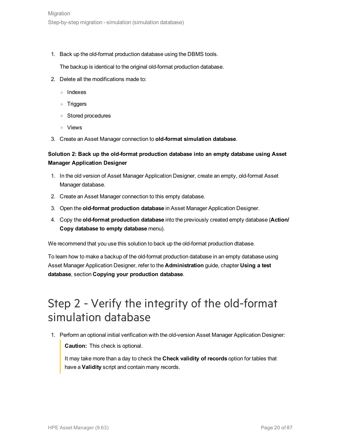1. Back up the old-format production database using the DBMS tools.

The backup is identical to the original old-format production database.

- 2. Delete all the modifications made to:
	- <sup>o</sup> Indexes
	- <sup>o</sup> Triggers
	- <sup>o</sup> Stored procedures
	- <sup>o</sup> Views
- 3. Create an Asset Manager connection to **old-format simulation database**.

#### **Solution 2: Back up the old-format production database into an empty database using Asset Manager Application Designer**

- 1. In the old version of Asset Manager Application Designer, create an empty, old-format Asset Manager database.
- 2. Create an Asset Manager connection to this empty database.
- 3. Open the **old-format production database** in Asset Manager Application Designer.
- 4. Copy the **old-format production database** into the previously created empty database (**Action/ Copy database to empty database** menu).

We recommend that you use this solution to back up the old-format production dtabase.

To learn how to make a backup of the old-format production database in an empty database using Asset Manager Application Designer, refer to the **Administration** guide, chapter **Using a test database**, section **Copying your production database**.

## <span id="page-19-0"></span>Step 2 - Verify the integrity of the old-format simulation database

1. Perform an optional initial verification with the old-version Asset Manager Application Designer:

**Caution:** This check is optional.

It may take more than a day to check the **Check validity of records** option for tables that have a **Validity** script and contain many records.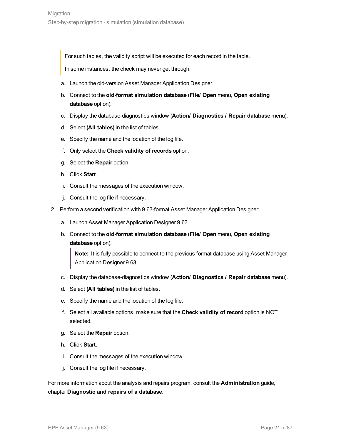For such tables, the validity script will be executed for each record in the table.

In some instances, the check may never get through.

- a. Launch the old-version Asset Manager Application Designer.
- b. Connect to the **old-format simulation database** (**File/ Open** menu, **Open existing database** option).
- c. Display the database-diagnostics window (**Action/ Diagnostics / Repair database** menu).
- d. Select **(All tables)** in the list of tables.
- e. Specify the name and the location of the log file.
- f. Only select the **Check validity of records** option.
- g. Select the **Repair** option.
- h. Click **Start**.
- i. Consult the messages of the execution window.
- j. Consult the log file if necessary.
- 2. Perform a second verification with 9.63-format Asset Manager Application Designer:
	- a. Launch Asset Manager Application Designer 9.63.
	- b. Connect to the **old-format simulation database** (**File/ Open** menu, **Open existing database** option).

**Note:** It is fully possible to connect to the previous format database using Asset Manager Application Designer 9.63.

- c. Display the database-diagnostics window (**Action/ Diagnostics / Repair database** menu).
- d. Select **(All tables)** in the list of tables.
- e. Specify the name and the location of the log file.
- f. Select all available options, make sure that the **Check validity of record** option is NOT selected.
- g. Select the **Repair** option.
- h. Click **Start**.
- i. Consult the messages of the execution window.
- j. Consult the log file if necessary.

For more information about the analysis and repairs program, consult the **Administration** guide, chapter **Diagnostic and repairs of a database**.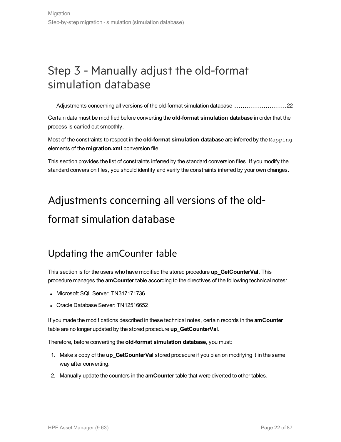## <span id="page-21-0"></span>Step 3 - Manually adjust the old-format simulation database

[Adjustments](#page-21-1) concerning all versions of the old-format simulation database [22](#page-21-1)

Certain data must be modified before converting the **old-format simulation database** in order that the process is carried out smoothly.

Most of the constraints to respect in the **old-format simulation database** are inferred by the Mapping elements of the **migration.xml** conversion file.

<span id="page-21-1"></span>This section provides the list of constraints inferred by the standard conversion files. If you modify the standard conversion files, you should identify and verify the constraints inferred by your own changes.

# Adjustments concerning all versions of the oldformat simulation database

### <span id="page-21-2"></span>Updating the amCounter table

This section is for the users who have modified the stored procedure **up\_GetCounterVal**. This procedure manages the **amCounter** table according to the directives of the following technical notes:

- Microsoft SQL Server: TN317171736
- Oracle Database Server: TN12516652

If you made the modifications described in these technical notes, certain records in the **amCounter** table are no longer updated by the stored procedure **up\_GetCounterVal**.

Therefore, before converting the **old-format simulation database**, you must:

- 1. Make a copy of the **up\_GetCounterVal** stored procedure if you plan on modifying it in the same way after converting.
- 2. Manually update the counters in the **amCounter** table that were diverted to other tables.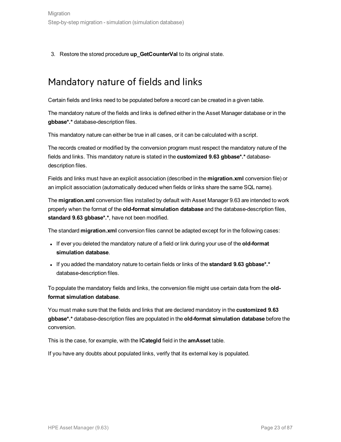<span id="page-22-0"></span>3. Restore the stored procedure **up\_GetCounterVal** to its original state.

### Mandatory nature of fields and links

Certain fields and links need to be populated before a record can be created in a given table.

The mandatory nature of the fields and links is defined either in the Asset Manager database or in the **gbbase\*.\*** database-description files.

This mandatory nature can either be true in all cases, or it can be calculated with a script.

The records created or modified by the conversion program must respect the mandatory nature of the fields and links. This mandatory nature is stated in the **customized 9.63 gbbase\*.\*** databasedescription files.

Fields and links must have an explicit association (described in the **migration.xml** conversion file) or an implicit association (automatically deduced when fields or links share the same SQL name).

The **migration.xml** conversion files installed by default with Asset Manager 9.63 are intended to work properly when the format of the **old-format simulation database** and the database-description files, **standard 9.63 gbbase\*.\***, have not been modified.

The standard **migration.xml** conversion files cannot be adapted except for in the following cases:

- If ever you deleted the mandatory nature of a field or link during your use of the old-format **simulation database**.
- <sup>l</sup> If you added the mandatory nature to certain fields or links of the **standard 9.63 gbbase\*.\*** database-description files.

To populate the mandatory fields and links, the conversion file might use certain data from the **oldformat simulation database**.

You must make sure that the fields and links that are declared mandatory in the **customized 9.63 gbbase\*.\*** database-description files are populated in the **old-format simulation database** before the conversion.

This is the case, for example, with the **lCategId** field in the **amAsset** table.

If you have any doubts about populated links, verify that its external key is populated.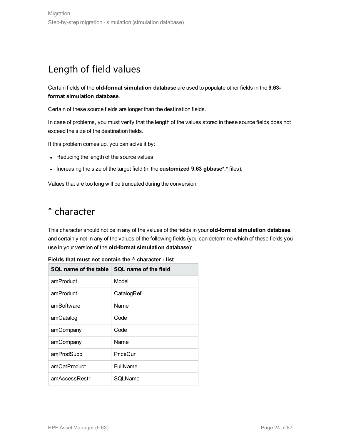### <span id="page-23-0"></span>Length of field values

Certain fields of the **old-format simulation database** are used to populate other fields in the **9.63 format simulation database**.

Certain of these source fields are longer than the destination fields.

In case of problems, you must verify that the length of the values stored in these source fields does not exceed the size of the destination fields.

If this problem comes up, you can solve it by:

- Reducing the length of the source values.
- **.** Increasing the size of the target field (in the customized 9.63 gbbase\*.\* files).

<span id="page-23-1"></span>Values that are too long will be truncated during the conversion.

### ^ character

This character should not be in any of the values of the fields in your **old-format simulation database**, and certainly not in any of the values of the following fields (you can determine which of these fields you use in your version of the **old-format simulation database**):

| SQL name of the table | SQL name of the field |
|-----------------------|-----------------------|
| amProduct             | Model                 |
| amProduct             | CatalogRef            |
| amSoftware            | Name                  |
| amCatalog             | Code                  |
| amCompany             | Code                  |
| amCompany             | Name                  |
| amProdSupp            | PriceCur              |
| amCatProduct          | FullName              |
| amAccessRestr         | SQLName               |

**Fields that must not contain the ^ character - list**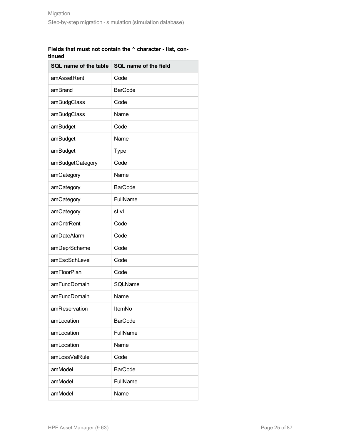|        |  | Fields that must not contain the $\lambda$ character - list. con- |  |
|--------|--|-------------------------------------------------------------------|--|
| tinued |  |                                                                   |  |

| SQL name of the table | SQL name of the field |
|-----------------------|-----------------------|
| amAssetRent           | Code                  |
| amBrand               | <b>BarCode</b>        |
| amBudgClass           | Code                  |
| amBudgClass           | Name                  |
| amBudget              | Code                  |
| amBudget              | Name                  |
| amBudget              | <b>Type</b>           |
| amBudgetCategory      | Code                  |
| amCategory            | Name                  |
| amCategory            | <b>BarCode</b>        |
| amCategory            | FullName              |
| amCategory            | sLvl                  |
| amCntrRent            | Code                  |
| amDateAlarm           | Code                  |
| amDeprScheme          | Code                  |
| amEscSchLevel         | Code                  |
| amFloorPlan           | Code                  |
| amFuncDomain          | SQLName               |
| amFuncDomain          | Name                  |
| amReservation         | ItemNo                |
| amLocation            | <b>BarCode</b>        |
| amLocation            | FullName              |
| amLocation            | Name                  |
| amLossValRule         | Code                  |
| amModel               | <b>BarCode</b>        |
| amModel               | FullName              |
| amModel               | Name                  |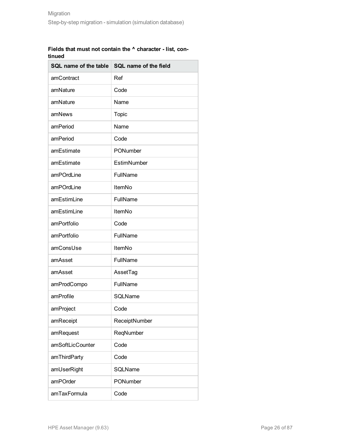|        |  | Fields that must not contain the $\wedge$ character - list, con- |  |
|--------|--|------------------------------------------------------------------|--|
| tinued |  |                                                                  |  |

| SQL name of the table | SQL name of the field |  |  |
|-----------------------|-----------------------|--|--|
| amContract            | Ref                   |  |  |
| amNature              | Code                  |  |  |
| amNature              | Name                  |  |  |
| amNews                | <b>Topic</b>          |  |  |
| amPeriod              | Name                  |  |  |
| amPeriod              | Code                  |  |  |
| amEstimate            | PONumber              |  |  |
| amEstimate            | EstimNumber           |  |  |
| amPOrdLine            | FullName              |  |  |
| amPOrdLine            | ItemNo                |  |  |
| amEstimLine           | FullName              |  |  |
| amEstimLine           | ItemNo                |  |  |
| amPortfolio           | Code                  |  |  |
| amPortfolio           | FullName              |  |  |
| amConsUse             | ItemNo                |  |  |
| amAsset               | FullName              |  |  |
| amAsset               | AssetTag              |  |  |
| amProdCompo           | FullName              |  |  |
| amProfile             | SQLName               |  |  |
| amProject             | Code                  |  |  |
| amReceipt             | ReceiptNumber         |  |  |
| amRequest             | ReqNumber             |  |  |
| amSoftLicCounter      | Code                  |  |  |
| amThirdParty          | Code                  |  |  |
| amUserRight           | SQLName               |  |  |
| amPOrder              | PONumber              |  |  |
| amTaxFormula          | Code                  |  |  |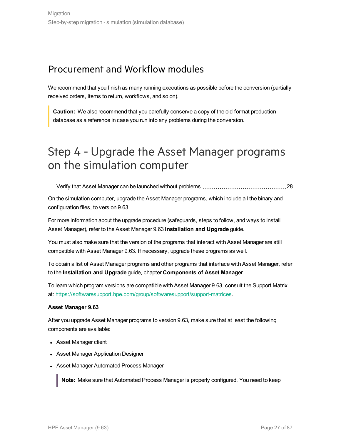### <span id="page-26-0"></span>Procurement and Workflow modules

We recommend that you finish as many running executions as possible before the conversion (partially received orders, items to return, workflows, and so on).

**Caution:** We also recommend that you carefully conserve a copy of the old-format production database as a reference in case you run into any problems during the conversion.

## <span id="page-26-1"></span>Step 4 - Upgrade the Asset Manager programs on the simulation computer

Verify that Asset Manager can be launched without [problems](#page-27-0) [28](#page-27-0)

On the simulation computer, upgrade the Asset Manager programs, which include all the binary and configuration files, to version 9.63.

For more information about the upgrade procedure (safeguards, steps to follow, and ways to install Asset Manager), refer to the Asset Manager 9.63 **Installation and Upgrade** guide.

You must also make sure that the version of the programs that interact with Asset Manager are still compatible with Asset Manager 9.63. If necessary, upgrade these programs as well.

To obtain a list of Asset Manager programs and other programs that interface with Asset Manager, refer to the **Installation and Upgrade** guide, chapter **Components of Asset Manager**.

To learn which program versions are compatible with Asset Manager 9.63, consult the Support Matrix at: <https://softwaresupport.hpe.com/group/softwaresupport/support-matrices>.

#### **Asset Manager 9.63**

After you upgrade Asset Manager programs to version 9.63, make sure that at least the following components are available:

- Asset Manager client
- Asset Manager Application Designer
- Asset Manager Automated Process Manager

**Note:** Make sure that Automated Process Manager is properly configured. You need to keep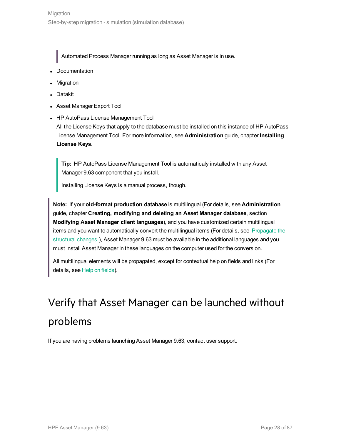Automated Process Manager running as long as Asset Manager is in use.

- Documentation
- **Migration**
- **Datakit**
- Asset Manager Export Tool
- HP AutoPass License Management Tool All the License Keys that apply to the database must be installed on this instance of HP AutoPass License Management Tool. For more information, see **Administration** guide, chapter **Installing**

#### **License Keys**.

**Tip:** HP AutoPass License Management Tool is automaticaly installed with any Asset Manager 9.63 component that you install.

Installing License Keys is a manual process, though.

**Note:** If your **old-format production database** is multilingual (For details, see **Administration** guide, chapter **Creating, modifying and deleting an Asset Manager database**, section **Modifying Asset Manager client languages**), and you have customized certain multilingual items and you want to automatically convert the multilingual items (For details, see [Propagate](#page-29-0) the [structural](#page-29-0) changes.), Asset Manager 9.63 must be available in the additional languages and you must install Asset Manager in these languages on the computer used for the conversion.

<span id="page-27-0"></span>All multilingual elements will be propagated, except for contextual help on fields and links (For details, see Help on fields).

# Verify that Asset Manager can be launched without problems

If you are having problems launching Asset Manager 9.63, contact user support.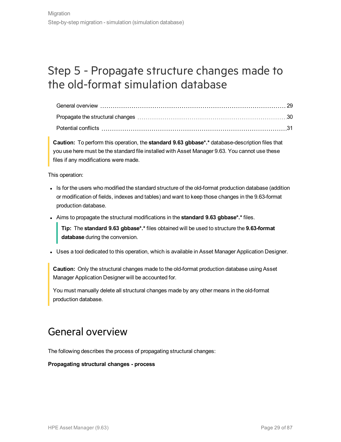## <span id="page-28-0"></span>Step 5 - Propagate structure changes made to the old-format simulation database

**Caution:** To perform this operation, the **standard 9.63 gbbase\*.\*** database-description files that you use here must be the standard file installed with Asset Manager 9.63. You cannot use these files if any modifications were made.

This operation:

- Is for the users who modified the standard structure of the old-format production database (addition or modification of fields, indexes and tables) and want to keep those changes in the 9.63-format production database.
- <sup>l</sup> Aims to propagate the structural modifications in the **standard 9.63 gbbase\*.\*** files.

**Tip:** The **standard 9.63 gbbase\*.\*** files obtained will be used to structure the **9.63-format database** during the conversion.

• Uses a tool dedicated to this operation, which is available in Asset Manager Application Designer.

**Caution:** Only the structural changes made to the old-format production database using Asset Manager Application Designer will be accounted for.

<span id="page-28-1"></span>You must manually delete all structural changes made by any other means in the old-format production database.

### General overview

The following describes the process of propagating structural changes:

**Propagating structural changes - process**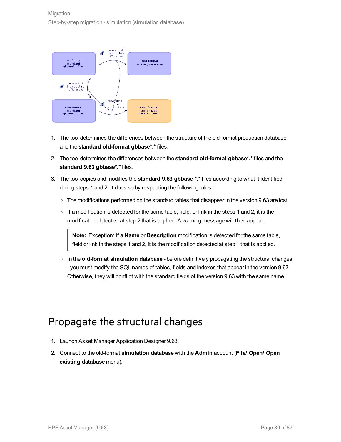

- 1. The tool determines the differences between the structure of the old-format production database and the **standard old-format gbbase\*.\*** files.
- 2. The tool determines the differences between the **standard old-format gbbase\*.\*** files and the **standard 9.63 gbbase\*.\*** files.
- 3. The tool copies and modifies the **standard 9.63 gbbase \*.\*** files according to what it identified during steps 1 and 2. It does so by respecting the following rules:
	- $\circ$  The modifications performed on the standard tables that disappear in the version 9.63 are lost.
	- If a modification is detected for the same table, field, or link in the steps 1 and 2, it is the modification detected at step 2 that is applied. A warning message will then appear.

**Note:** Exception: If a **Name** or **Description** modification is detected for the same table, field or link in the steps 1 and 2, it is the modification detected at step 1 that is applied.

<sup>o</sup> In the **old-format simulation database** - before definitively propagating the structural changes - you must modify the SQL names of tables, fields and indexes that appear in the version 9.63. Otherwise, they will conflict with the standard fields of the version 9.63 with the same name.

### <span id="page-29-0"></span>Propagate the structural changes

- 1. Launch Asset Manager Application Designer 9.63.
- 2. Connect to the old-format **simulation database** with the **Admin** account (**File/ Open/ Open existing database** menu).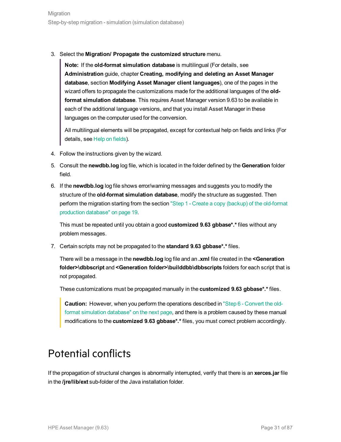3. Select the **Migration/ Propagate the customized structure** menu.

**Note:** If the **old-format simulation database** is multilingual (For details, see **Administration** guide, chapter **Creating, modifying and deleting an Asset Manager database**, section **Modifying Asset Manager client languages**), one of the pages in the wizard offers to propagate the customizations made for the additional languages of the **oldformat simulation database**. This requires Asset Manager version 9.63 to be available in each of the additional language versions, and that you install Asset Manager in these languages on the computer used for the conversion.

All multilingual elements will be propagated, except for contextual help on fields and links (For details, see Help on fields).

- 4. Follow the instructions given by the wizard.
- 5. Consult the **newdbb.log** log file, which is located in the folder defined by the **Generation** folder field.
- 6. If the **newdbb.log** log file shows error/warning messages and suggests you to modify the structure of the **old-format simulation database**, modify the structure as suggested. Then perform the migration starting from the section "Step 1 - Create a copy (backup) of the [old-format](#page-18-0) [production](#page-18-0) database" on page 19.

This must be repeated until you obtain a good **customized 9.63 gbbase\*.\*** files without any problem messages.

7. Certain scripts may not be propagated to the **standard 9.63 gbbase\*.\*** files.

There will be a message in the **newdbb.log** log file and an **.xml** file created in the **<Generation folder>\dbbscript** and **<Generation folder>\builddbb\dbbscripts** folders for each script that is not propagated.

These customizations must be propagated manually in the **customized 9.63 gbbase\*.\*** files.

**Caution:** However, when you perform the operations described in "Step 6 - [Convert](#page-31-0) the oldformat [simulation](#page-31-0) database" on the next page, and there is a problem caused by these manual modifications to the **customized 9.63 gbbase\*.\*** files, you must correct problem accordingly.

### <span id="page-30-0"></span>Potential conflicts

If the propagation of structural changes is abnormally interrupted, verify that there is an **xerces.jar** file in the **/jre/lib/ext** sub-folder of the Java installation folder.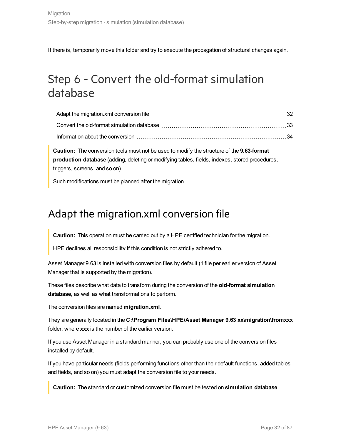If there is, temporarily move this folder and try to execute the propagation of structural changes again.

## <span id="page-31-0"></span>Step 6 - Convert the old-format simulation database

**Caution:** The conversion tools must not be used to modify the structure of the **9.63-format production database** (adding, deleting or modifying tables, fields, indexes, stored procedures, triggers, screens, and so on).

<span id="page-31-1"></span>Such modifications must be planned after the migration.

### Adapt the migration.xml conversion file

**Caution:** This operation must be carried out by a HPE certified technician for the migration.

HPE declines all responsibility if this condition is not strictly adhered to.

Asset Manager 9.63 is installed with conversion files by default (1 file per earlier version of Asset Manager that is supported by the migration).

These files describe what data to transform during the conversion of the **old-format simulation database**, as well as what transformations to perform.

The conversion files are named **migration.xml**.

They are generally located in the **C:\Program Files\HPE\Asset Manager 9.63 xx\migration\fromxxx** folder, where **xxx** is the number of the earlier version.

If you use Asset Manager in a standard manner, you can probably use one of the conversion files installed by default.

If you have particular needs (fields performing functions other than their default functions, added tables and fields, and so on) you must adapt the conversion file to your needs.

**Caution:** The standard or customized conversion file must be tested on **simulation database**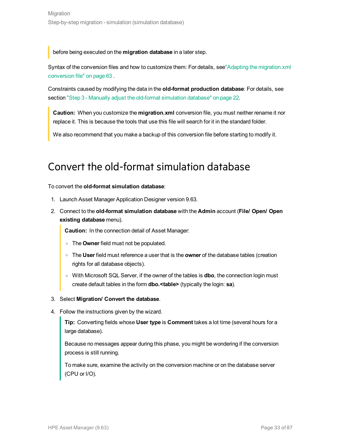before being executed on the **migration database** in a later step.

Syntax of the conversion files and how to customize them: For details, see"Adapting the [migration.xml](#page-62-1) [conversion](#page-62-1) file" on page 63 .

Constraints caused by modifying the data in the **old-format production database**: For details, see section "Step 3 - Manually adjust the old-format [simulation](#page-21-0) database" on page 22.

**Caution:** When you customize the **migration.xml** conversion file, you must neither rename it nor replace it. This is because the tools that use this file will search for it in the standard folder.

<span id="page-32-0"></span>We also recommend that you make a backup of this conversion file before starting to modify it.

### Convert the old-format simulation database

To convert the **old-format simulation database**:

- 1. Launch Asset Manager Application Designer version 9.63.
- 2. Connect to the **old-format simulation database** with the **Admin** account (**File/ Open/ Open existing database** menu).

**Caution:** In the connection detail of Asset Manager:

- <sup>o</sup> The **Owner** field must not be populated.
- <sup>o</sup> The **User** field must reference a user that is the **owner** of the database tables (creation rights for all database objects).
- <sup>o</sup> With Microsoft SQL Server, if the owner of the tables is **dbo**, the connection login must create default tables in the form **dbo.<table>** (typically the login: **sa**).

#### 3. Select **Migration/ Convert the database**.

4. Follow the instructions given by the wizard.

**Tip:** Converting fields whose **User type** is **Comment** takes a lot time (several hours for a large database).

Because no messages appear during this phase, you might be wondering if the conversion process is still running.

To make sure, examine the activity on the conversion machine or on the database server (CPU or I/O).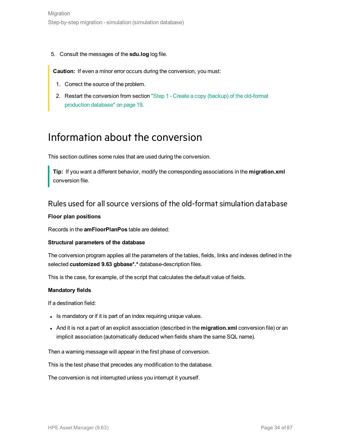5. Consult the messages of the **sdu.log** log file.

**Caution:** If even a minor error occurs during the conversion, you must:

- 1. Correct the source of the problem.
- <span id="page-33-0"></span>2. Restart the conversion from section "Step 1 - Create a copy (backup) of the [old-format](#page-18-0) [production](#page-18-0) database" on page 19.

### Information about the conversion

This section outlines some rules that are used during the conversion.

**Tip:** If you want a different behavior, modify the corresponding associations in the **migration.xml** conversion file.

### <span id="page-33-1"></span>Rules used for allsource versions of the old-format simulation database

#### **Floor plan positions**

Records in the **amFloorPlanPos** table are deleted:

#### **Structural parameters of the database**

The conversion program applies all the parameters of the tables, fields, links and indexes defined in the selected **customized 9.63 gbbase\*.\*** database-description files.

This is the case, for example, of the script that calculates the default value of fields.

#### **Mandatory fields**

If a destination field:

- . Is mandatory or if it is part of an index requiring unique values.
- **And it is not a part of an explicit association (described in the migration.xml conversion file) or an** implicit association (automatically deduced when fields share the same SQL name).

Then a warning message will appear in the first phase of conversion.

This is the test phase that precedes any modification to the database.

The conversion is not interrupted unless you interrupt it yourself.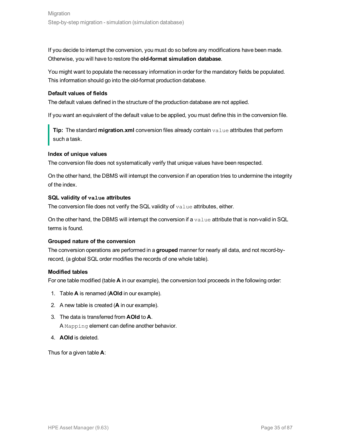If you decide to interrupt the conversion, you must do so before any modifications have been made. Otherwise, you will have to restore the **old-format simulation database**.

You might want to populate the necessary information in order for the mandatory fields be populated. This information should go into the old-format production database.

#### **Default values of fields**

The default values defined in the structure of the production database are not applied.

If you want an equivalent of the default value to be applied, you must define this in the conversion file.

**Tip:** The standard **migration.xml** conversion files already contain value attributes that perform such a task.

#### **Index of unique values**

The conversion file does not systematically verify that unique values have been respected.

On the other hand, the DBMS will interrupt the conversion if an operation tries to undermine the integrity of the index.

#### **SQL validity of value attributes**

The conversion file does not verify the SQL validity of  $\text{value}$  attributes, either.

On the other hand, the DBMS will interrupt the conversion if a  $value$  attribute that is non-valid in SQL terms is found.

#### **Grouped nature of the conversion**

The conversion operations are performed in a **grouped** manner for nearly all data, and not record-byrecord, (a global SQL order modifies the records of one whole table).

#### **Modified tables**

For one table modified (table **A** in our example), the conversion tool proceeds in the following order:

- 1. Table **A** is renamed (**AOld** in our example).
- 2. A new table is created (**A** in our example).
- 3. The data is transferred from **AOld** to **A**. A Mapping element can define another behavior.
- 4. **AOld** is deleted.

Thus for a given table **A**: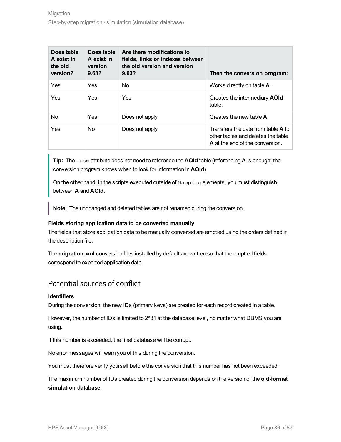| Does table<br>A exist in<br>the old<br>version? | Does table<br>A exist in<br>version<br>9.63? | Are there modifications to<br>fields, links or indexes between<br>the old version and version<br>9.63? | Then the conversion program:                                                                                       |
|-------------------------------------------------|----------------------------------------------|--------------------------------------------------------------------------------------------------------|--------------------------------------------------------------------------------------------------------------------|
| Yes                                             | Yes                                          | No.                                                                                                    | Works directly on table <b>A</b> .                                                                                 |
| Yes                                             | Yes                                          | Yes                                                                                                    | Creates the intermediary <b>AOId</b><br>table.                                                                     |
| N <sub>o</sub>                                  | Yes                                          | Does not apply                                                                                         | Creates the new table <b>A</b> .                                                                                   |
| Yes                                             | <b>No</b>                                    | Does not apply                                                                                         | Transfers the data from table <b>A</b> to<br>other tables and deletes the table<br>A at the end of the conversion. |

**Tip:** The From attribute does not need to reference the **AOld** table (referencing **A** is enough; the conversion program knows when to look for information in **AOld**).

On the other hand, in the scripts executed outside of Mapping elements, you must distinguish between **A** and **AOld**.

**Note:** The unchanged and deleted tables are not renamed during the conversion.

#### **Fields storing application data to be converted manually**

The fields that store application data to be manually converted are emptied using the orders defined in the description file.

The **migration.xml** conversion files installed by default are written so that the emptied fields correspond to exported application data.

### <span id="page-35-0"></span>Potential sources of conflict

#### **Identifiers**

During the conversion, the new IDs (primary keys) are created for each record created in a table.

However, the number of IDs is limited to 2^31 at the database level, no matter what DBMS you are using.

If this number is exceeded, the final database will be corrupt.

No error messages will warn you of this during the conversion.

You must therefore verify yourself before the conversion that this number has not been exceeded.

The maximum number of IDs created during the conversion depends on the version of the **old-format simulation database**.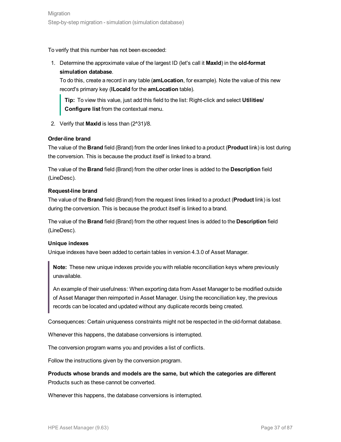To verify that this number has not been exceeded:

1. Determine the approximate value of the largest ID (let's call it **MaxId**) in the **old-format simulation database**.

To do this, create a record in any table (**amLocation**, for example). Note the value of this new record's primary key (**lLocaId** for the **amLocation** table).

**Tip:** To view this value, just add this field to the list: Right-click and select **Utilities/ Configure list** from the contextual menu.

2. Verify that **MaxId** is less than (2^31)/8.

### **Order-line brand**

The value of the **Brand** field (Brand) from the order lines linked to a product (**Product** link) is lost during the conversion. This is because the product itself is linked to a brand.

The value of the **Brand** field (Brand) from the other order lines is added to the **Description** field (LineDesc).

#### **Request-line brand**

The value of the **Brand** field (Brand) from the request lines linked to a product (**Product** link) is lost during the conversion. This is because the product itself is linked to a brand.

The value of the **Brand** field (Brand) from the other request lines is added to the **Description** field (LineDesc).

### **Unique indexes**

Unique indexes have been added to certain tables in version 4.3.0 of Asset Manager.

**Note:** These new unique indexes provide you with reliable reconciliation keys where previously unavailable.

An example of their usefulness: When exporting data from Asset Manager to be modified outside of Asset Manager then reimported in Asset Manager. Using the reconciliation key, the previous records can be located and updated without any duplicate records being created.

Consequences: Certain uniqueness constraints might not be respected in the old-format database.

Whenever this happens, the database conversions is interrupted.

The conversion program warns you and provides a list of conflicts.

Follow the instructions given by the conversion program.

**Products whose brands and models are the same, but which the categories are different** Products such as these cannot be converted.

Whenever this happens, the database conversions is interrupted.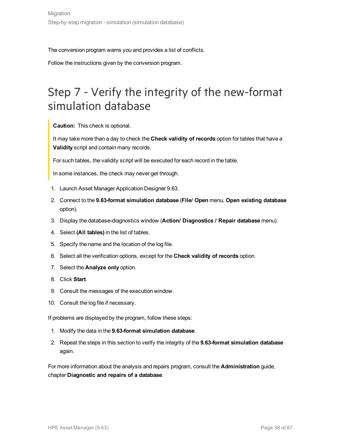The conversion program warns you and provides a list of conflicts.

Follow the instructions given by the conversion program.

## <span id="page-37-0"></span>Step 7 - Verify the integrity of the new-format simulation database

**Caution:** This check is optional.

It may take more than a day to check the **Check validity of records** option for tables that have a **Validity** script and contain many records.

For such tables, the validity script will be executed for each record in the table.

In some instances, the check may never get through.

- 1. Launch Asset Manager Application Designer 9.63.
- 2. Connect to the **9.63-format simulation database** (**File/ Open** menu, **Open existing database** option).
- 3. Display the database-diagnostics window (**Action/ Diagnostics / Repair database** menu).
- 4. Select **(All tables)** in the list of tables.
- 5. Specify the name and the location of the log file.
- 6. Select all the verification options, except for the **Check validity of records** option.
- 7. Select the **Analyze only** option.
- 8. Click **Start**.
- 9. Consult the messages of the execution window.
- 10. Consult the log file if necessary.

If problems are displayed by the program, follow these steps:

- 1. Modify the data in the **9.63-format simulation database**.
- 2. Repeat the steps in this section to verify the integrity of the **9.63-format simulation database** again.

For more information about the analysis and repairs program, consult the **Administration** guide, chapter **Diagnostic and repairs of a database**.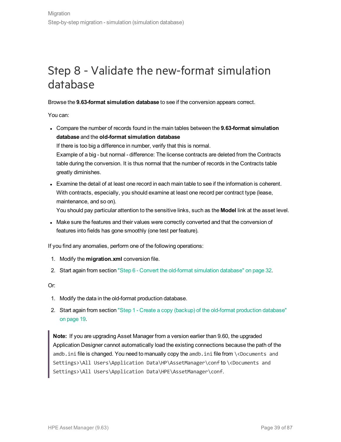## Step 8 - Validate the new-format simulation database

Browse the **9.63-format simulation database** to see if the conversion appears correct.

You can:

- <sup>l</sup> Compare the number of records found in the main tables between the **9.63-format simulation database** and the **old-format simulation database** If there is too big a difference in number, verify that this is normal. Example of a big - but normal - difference: The license contracts are deleted from the Contracts table during the conversion. It is thus normal that the number of records in the Contracts table greatly diminishes.
- Examine the detail of at least one record in each main table to see if the information is coherent. With contracts, especially, you should examine at least one record per contract type (lease, maintenance, and so on).

You should pay particular attention to the sensitive links, such as the **Model** link at the asset level.

• Make sure the features and their values were correctly converted and that the conversion of features into fields has gone smoothly (one test per feature).

If you find any anomalies, perform one of the following operations:

- 1. Modify the **migration.xml** conversion file.
- 2. Start again from section "Step 6 Convert the old-format [simulation](#page-31-0) database" on page 32.

Or:

- 1. Modify the data in the old-format production database.
- 2. Start again from section "Step 1 Create a copy (backup) of the old-format [production](#page-18-0) database" on [page](#page-18-0) 19.

**Note:** If you are upgrading Asset Manager from a version earlier than 9.60, the upgraded Application Designer cannot automatically load the existing connections because the path of the amdb.ini file is changed. You need to manually copy the amdb.ini file from \<Documents and Settings>\All Users\Application Data\HP\AssetManager\conf to \<Documents and Settings>\All Users\Application Data\HPE\AssetManager\conf.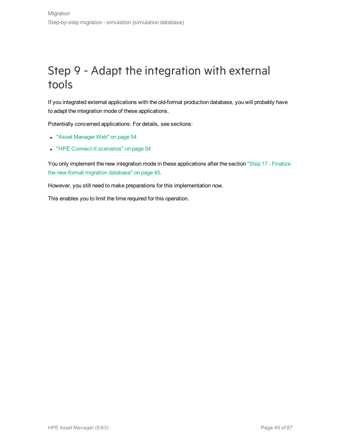## Step 9 - Adapt the integration with external tools

If you integrated external applications with the old-format production database, you will probably have to adapt the integration mode of these applications.

Potentially concerned applications: For details, see sections:

- "Asset [Manager](#page-53-0) Web" on page 54
- "HPE Connect-It [scenarios"](#page-53-1) on page 54

You only implement the new integration mode in these applications after the section "Step 17 - [Finalize](#page-44-0) the [new-format](#page-44-0) migration database" on page 45.

However, you still need to make preparations for this implementation now.

This enables you to limit the time required for this operation.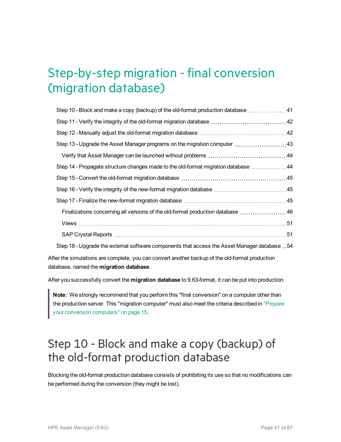# Step-by-step migration - final conversion (migration database)

| Step 10 - Block and make a copy (backup) of the old-format production database  41             |  |
|------------------------------------------------------------------------------------------------|--|
|                                                                                                |  |
|                                                                                                |  |
| Step 13 - Upgrade the Asset Manager programs on the migration computer  43                     |  |
|                                                                                                |  |
| Step 14 - Propagate structure changes made to the old-format migration database 44             |  |
|                                                                                                |  |
|                                                                                                |  |
|                                                                                                |  |
| Finalizations concerning all versions of the old-format production database  46                |  |
| Views …………………………………………………………………………………………51                                                     |  |
|                                                                                                |  |
| Step 18 - Upgrade the external software components that access the Asset Manager database . 54 |  |

After the simulations are complete, you can convert another backup of the old-format production database, named the **migration database**.

After you successfully convert the **migration database** to 9.63-format, it can be put into production.

**Note:** We strongly recommend that you perform this "final conversion" on a computer other than the production server. This "migration computer" must also meet the criteria described in ["Prepare](#page-14-0) your conversion [computers"](#page-14-0) on page 15.

## <span id="page-40-0"></span>Step 10 - Block and make a copy (backup) of the old-format production database

Blocking the old-format production database consists of prohibiting its use so that no modifications can be performed during the conversion (they might be lost).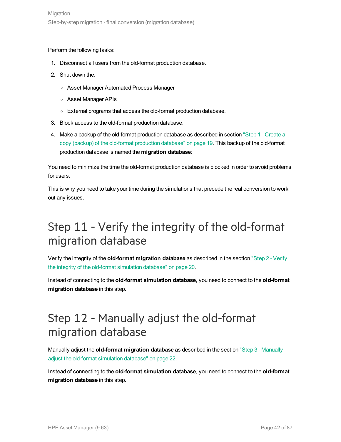#### Perform the following tasks:

- 1. Disconnect all users from the old-format production database.
- 2. Shut down the:
	- <sup>o</sup> Asset Manager Automated Process Manager
	- <sup>o</sup> Asset Manager APIs
	- <sup>o</sup> External programs that access the old-format production database.
- 3. Block access to the old-format production database.
- 4. Make a backup of the old-format production database as described in section "Step 1 [Create](#page-18-0) a copy (backup) of the old-format [production](#page-18-0) database" on page 19. This backup of the old-format production database is named the **migration database**:

You need to minimize the time the old-format production database is blocked in order to avoid problems for users.

This is why you need to take your time during the simulations that precede the real conversion to work out any issues.

## <span id="page-41-0"></span>Step 11 - Verify the integrity of the old-format migration database

Verify the integrity of the **old-format migration database** as described in the section "Step 2 - [Verify](#page-19-0) the integrity of the old-format [simulation](#page-19-0) database" on page 20.

Instead of connecting to the **old-format simulation database**, you need to connect to the **old-format migration database** in this step.

## <span id="page-41-1"></span>Step 12 - Manually adjust the old-format migration database

Manually adjust the **old-format migration database** as described in the section "Step 3 - [Manually](#page-21-0) adjust the old-format [simulation](#page-21-0) database" on page 22.

Instead of connecting to the **old-format simulation database**, you need to connect to the **old-format migration database** in this step.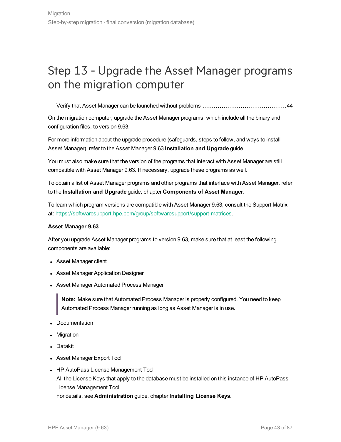## <span id="page-42-0"></span>Step 13 - Upgrade the Asset Manager programs on the migration computer

Verify that Asset Manager can be launched without [problems](#page-43-0) [44](#page-43-0)

On the migration computer, upgrade the Asset Manager programs, which include all the binary and configuration files, to version 9.63.

For more information about the upgrade procedure (safeguards, steps to follow, and ways to install Asset Manager), refer to the Asset Manager 9.63 **Installation and Upgrade** guide.

You must also make sure that the version of the programs that interact with Asset Manager are still compatible with Asset Manager 9.63. If necessary, upgrade these programs as well.

To obtain a list of Asset Manager programs and other programs that interface with Asset Manager, refer to the **Installation and Upgrade** guide, chapter **Components of Asset Manager**.

To learn which program versions are compatible with Asset Manager 9.63, consult the Support Matrix at: [https://softwaresupport.hpe.com/group/softwaresupport/support-matrices](http://www.hp.com/go/hpsoftwaresupport).

#### **Asset Manager 9.63**

After you upgrade Asset Manager programs to version 9.63, make sure that at least the following components are available:

- Asset Manager client
- Asset Manager Application Designer
- Asset Manager Automated Process Manager

**Note:** Make sure that Automated Process Manager is properly configured. You need to keep Automated Process Manager running as long as Asset Manager is in use.

- Documentation
- Migration
- Datakit
- Asset Manager Export Tool
- HP AutoPass License Management Tool All the License Keys that apply to the database must be installed on this instance of HP AutoPass License Management Tool.

For details, see **Administration** guide, chapter **Installing License Keys**.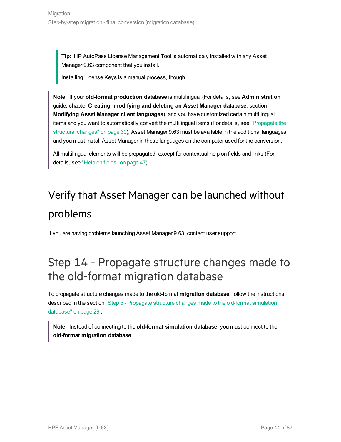**Tip:** HP AutoPass License Management Tool is automaticaly installed with any Asset Manager 9.63 component that you install.

Installing License Keys is a manual process, though.

**Note:** If your **old-format production database** is multilingual (For details, see **Administration** guide, chapter **Creating, modifying and deleting an Asset Manager database**, section **Modifying Asset Manager client languages**), and you have customized certain multilingual items and you want to automatically convert the multilingual items (For details, see ["Propagate](#page-29-0) the [structural](#page-29-0) changes" on page 30), Asset Manager 9.63 must be available in the additional languages and you must install Asset Manager in these languages on the computer used for the conversion.

<span id="page-43-0"></span>All multilingual elements will be propagated, except for contextual help on fields and links (For details, see "Help on [fields"](#page-46-0) on page 47).

# Verify that Asset Manager can be launched without problems

If you are having problems launching Asset Manager 9.63, contact user support.

## <span id="page-43-1"></span>Step 14 - Propagate structure changes made to the old-format migration database

To propagate structure changes made to the old-format **migration database**, follow the instructions described in the section "Step 5 - [Propagate](#page-28-0) structure changes made to the old-format simulation [database"](#page-28-0) on page 29 .

**Note:** Instead of connecting to the **old-format simulation database**, you must connect to the **old-format migration database**.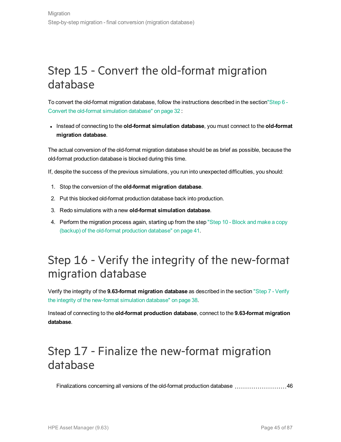## <span id="page-44-1"></span>Step 15 - Convert the old-format migration database

To convert the old-format migration database, follow the instructions described in the sectio[n"Step](#page-31-0) 6 - Convert the old-format [simulation](#page-31-0) database" on page 32 :

<sup>l</sup> Instead of connecting to the **old-format simulation database**, you must connect to the **old-format migration database**.

The actual conversion of the old-format migration database should be as brief as possible, because the old-format production database is blocked during this time.

If, despite the success of the previous simulations, you run into unexpected difficulties, you should:

- 1. Stop the conversion of the **old-format migration database**.
- 2. Put this blocked old-format production database back into production.
- 3. Redo simulations with a new **old-format simulation database**.
- 4. Perform the migration process again, starting up from the step "Step 10 [Block](#page-40-0) and make a copy (backup) of the old-format [production](#page-40-0) database" on page 41.

## <span id="page-44-2"></span>Step 16 - Verify the integrity of the new-format migration database

Verify the integrity of the **9.63-format migration database** as described in the section "Step 7 - [Verify](#page-37-0) the integrity of the [new-format](#page-37-0) simulation database" on page 38.

Instead of connecting to the **old-format production database**, connect to the **9.63-format migration database**.

## <span id="page-44-0"></span>Step 17 - Finalize the new-format migration database

[Finalizations](#page-45-0) concerning all versions of the old-format production database  $\ldots$ ............................[46](#page-45-0)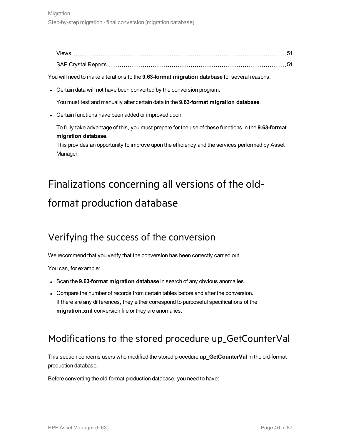| <b>Views</b>               |  |
|----------------------------|--|
| <b>SAP Crystal Reports</b> |  |

You will need to make alterations to the **9.63-format migration database** for several reasons:

• Certain data will not have been converted by the conversion program.

You must test and manually alter certain data in the **9.63-format migration database**.

• Certain functions have been added or improved upon.

To fully take advantage of this, you must prepare for the use of these functions in the **9.63-format migration database**.

<span id="page-45-0"></span>This provides an opportunity to improve upon the efficiency and the services performed by Asset Manager.

# Finalizations concerning all versions of the oldformat production database

### Verifying the success of the conversion

We recommend that you verify that the conversion has been correctly carried out.

You can, for example:

- <sup>l</sup> Scan the **9.63-format migration database** in search of any obvious anomalies.
- Compare the number of records from certain tables before and after the conversion. If there are any differences, they either correspond to purposeful specifications of the **migration.xml** conversion file or they are anomalies.

### Modifications to the stored procedure up\_GetCounterVal

This section concerns users who modified the stored procedure **up\_GetCounterVal** in the old-format production database.

Before converting the old-format production database, you need to have: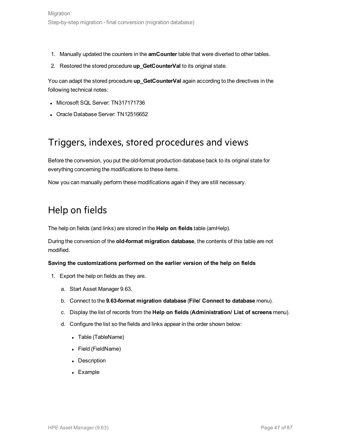- 1. Manually updated the counters in the **amCounter** table that were diverted to other tables.
- 2. Restored the stored procedure **up\_GetCounterVal** to its original state.

You can adapt the stored procedure **up\_GetCounterVal** again according to the directives in the following technical notes:

- Microsoft SQL Server: TN317171736
- Oracle Database Server: TN12516652

### Triggers, indexes, stored procedures and views

Before the conversion, you put the old-format production database back to its original state for everything concerning the modifications to these items.

<span id="page-46-0"></span>Now you can manually perform these modifications again if they are still necessary.

### Help on fields

The help on fields (and links) are stored in the **Help on fields** table (amHelp).

During the conversion of the **old-format migration database**, the contents of this table are not modified.

### **Saving the customizations performed on the earlier version of the help on fields**

- 1. Export the help on fields as they are.
	- a. Start Asset Manager 9.63.
	- b. Connect to the **9.63-format migration database** (**File/ Connect to database** menu).
	- c. Display the list of records from the **Help on fields** (**Administration/ List of screens** menu).
	- d. Configure the list so the fields and links appear in the order shown below:
		- Table (TableName)
		- Field (FieldName)
		- Description
		- Example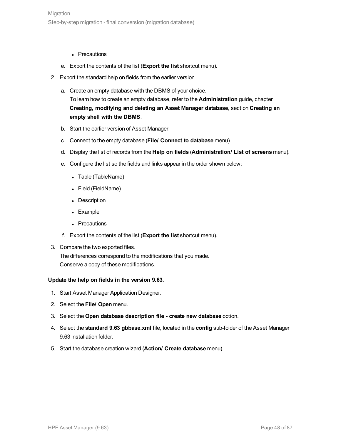- Precautions
- e. Export the contents of the list (**Export the list** shortcut menu).
- 2. Export the standard help on fields from the earlier version.
	- a. Create an empty database with the DBMS of your choice. To learn how to create an empty database, refer to the **Administration** guide, chapter **Creating, modifying and deleting an Asset Manager database**, section **Creating an empty shell with the DBMS**.
	- b. Start the earlier version of Asset Manager.
	- c. Connect to the empty database (**File/ Connect to database** menu).
	- d. Display the list of records from the **Help on fields** (**Administration/ List of screens** menu).
	- e. Configure the list so the fields and links appear in the order shown below:
		- Table (TableName)
		- Field (FieldName)
		- Description
		- Example
		- Precautions
	- f. Export the contents of the list (**Export the list** shortcut menu).
- 3. Compare the two exported files. The differences correspond to the modifications that you made.

Conserve a copy of these modifications.

#### **Update the help on fields in the version 9.63.**

- 1. Start Asset Manager Application Designer.
- 2. Select the **File/ Open** menu.
- 3. Select the **Open database description file - create new database** option.
- 4. Select the **standard 9.63 gbbase.xml** file, located in the **config** sub-folder of the Asset Manager 9.63 installation folder.
- 5. Start the database creation wizard (**Action/ Create database** menu).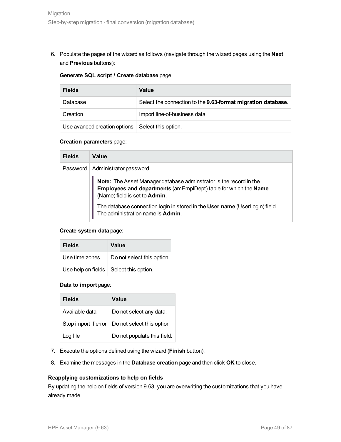6. Populate the pages of the wizard as follows (navigate through the wizard pages using the **Next** and **Previous** buttons):

#### **Generate SQL script / Create database** page:

| <b>Fields</b>                | Value                                                        |
|------------------------------|--------------------------------------------------------------|
| Database                     | Select the connection to the 9.63-format migration database. |
| Creation                     | Import line-of-business data                                 |
| Use avanced creation options | Select this option.                                          |

#### **Creation parameters** page:

| <b>Fields</b> | Value                                                                                                                                                                  |
|---------------|------------------------------------------------------------------------------------------------------------------------------------------------------------------------|
| Password      | Administrator password.                                                                                                                                                |
|               | Note: The Asset Manager database adminstrator is the record in the<br>Employees and departments (amEmplDept) table for which the Name<br>(Name) field is set to Admin. |
|               | The database connection login in stored in the User name (UserLogin) field.<br>The administration name is Admin.                                                       |

### **Create system data** page:

| <b>Fields</b>  | Value                                          |
|----------------|------------------------------------------------|
| Use time zones | Do not select this option                      |
|                | Use help on fields $\vert$ Select this option. |

### **Data to import** page:

| <b>Fields</b>        | Value                       |
|----------------------|-----------------------------|
| Available data       | Do not select any data.     |
| Stop import if error | Do not select this option   |
| Log file             | Do not populate this field. |

- 7. Execute the options defined using the wizard (**Finish** button).
- 8. Examine the messages in the **Database creation** page and then click **OK** to close.

### **Reapplying customizations to help on fields**

By updating the help on fields of version 9.63, you are overwriting the customizations that you have already made.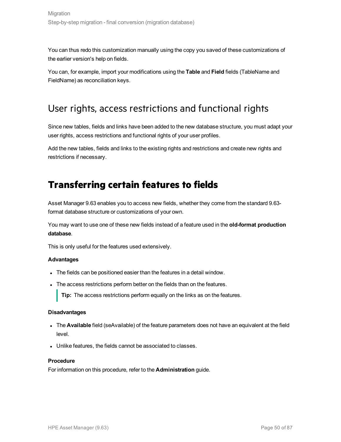You can thus redo this customization manually using the copy you saved of these customizations of the earlier version's help on fields.

You can, for example, import your modifications using the **Table** and **Field** fields (TableName and FieldName) as reconciliation keys.

### User rights, access restrictions and functional rights

Since new tables, fields and links have been added to the new database structure, you must adapt your user rights, access restrictions and functional rights of your user profiles.

Add the new tables, fields and links to the existing rights and restrictions and create new rights and restrictions if necessary.

### **Transferring certain features to fields**

Asset Manager 9.63 enables you to access new fields, whether they come from the standard 9.63 format database structure or customizations of your own.

You may want to use one of these new fields instead of a feature used in the **old-format production database**.

This is only useful for the features used extensively.

#### **Advantages**

- The fields can be positioned easier than the features in a detail window.
- The access restrictions perform better on the fields than on the features.

**Tip:** The access restrictions perform equally on the links as on the features.

#### **Disadvantages**

- The **Available** field (seAvailable) of the feature parameters does not have an equivalent at the field level.
- Unlike features, the fields cannot be associated to classes.

#### **Procedure**

For information on this procedure, refer to the **Administration** guide.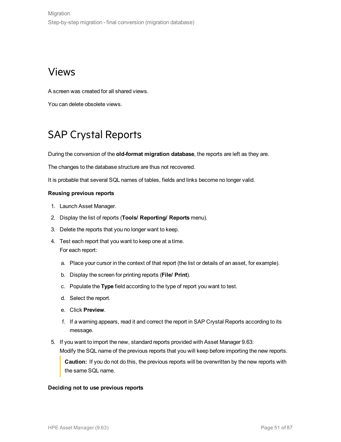### <span id="page-50-0"></span>Views

A screen was created for all shared views.

<span id="page-50-1"></span>You can delete obsolete views.

### SAP Crystal Reports

During the conversion of the **old-format migration database**, the reports are left as they are.

The changes to the database structure are thus not recovered.

It is probable that several SQL names of tables, fields and links become no longer valid.

### **Reusing previous reports**

- 1. Launch Asset Manager.
- 2. Display the list of reports (**Tools/ Reporting/ Reports** menu).
- 3. Delete the reports that you no longer want to keep.
- 4. Test each report that you want to keep one at a time. For each report:
	- a. Place your cursor in the context of that report (the list or details of an asset, for example).
	- b. Display the screen for printing reports (**File/ Print**).
	- c. Populate the **Type** field according to the type of report you want to test.
	- d. Select the report.
	- e. Click **Preview**.
	- f. If a warning appears, read it and correct the report in SAP Crystal Reports according to its message.
- 5. If you want to import the new, standard reports provided with Asset Manager 9.63: Modify the SQL name of the previous reports that you will keep before importing the new reports.

**Caution:** If you do not do this, the previous reports will be overwritten by the new reports with the same SQL name.

#### **Deciding not to use previous reports**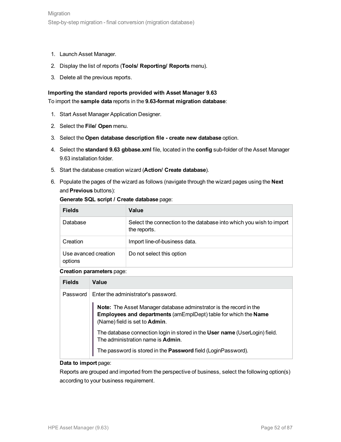- 1. Launch Asset Manager.
- 2. Display the list of reports (**Tools/ Reporting/ Reports** menu).
- 3. Delete all the previous reports.

#### **Importing the standard reports provided with Asset Manager 9.63**

To import the **sample data** reports in the **9.63-format migration database**:

- 1. Start Asset Manager Application Designer.
- 2. Select the **File/ Open** menu.
- 3. Select the **Open database description file - create new database** option.
- 4. Select the **standard 9.63 gbbase.xml** file, located in the **config** sub-folder of the Asset Manager 9.63 installation folder.
- 5. Start the database creation wizard (**Action/ Create database**).
- 6. Populate the pages of the wizard as follows (navigate through the wizard pages using the **Next** and **Previous** buttons):

| <b>Fields</b>                   | Value                                                                               |
|---------------------------------|-------------------------------------------------------------------------------------|
| Database                        | Select the connection to the database into which you wish to import<br>the reports. |
| Creation                        | Import line-of-business data.                                                       |
| Use avanced creation<br>options | Do not select this option                                                           |

#### **Generate SQL script / Create database** page:

#### **Creation parameters** page:

| <b>Fields</b> | Value                                                                                                                                                                                                         |
|---------------|---------------------------------------------------------------------------------------------------------------------------------------------------------------------------------------------------------------|
| Password      | Enter the administrator's password.<br>Note: The Asset Manager database adminstrator is the record in the<br>Employees and departments (amEmplDept) table for which the Name<br>(Name) field is set to Admin. |
|               | The database connection login in stored in the User name (UserLogin) field.<br>The administration name is Admin.<br>The password is stored in the Password field (LoginPassword).                             |

#### **Data to import** page:

Reports are grouped and imported from the perspective of business, select the following option(s) according to your business requirement.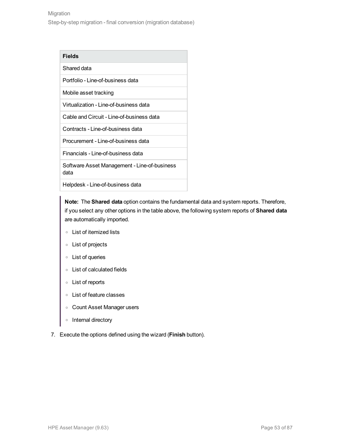| Fields |
|--------|
|--------|

### Shared data

Portfolio - Line-of-business data

Mobile asset tracking

Virtualization - Line-of-business data

Cable and Circuit - Line-of-business data

Contracts - Line-of-business data

Procurement - Line-of-business data

Financials - Line-of-business data

Software Asset Management - Line-of-business data

Helpdesk - Line-of-business data

**Note:** The **Shared data** option contains the fundamental data and system reports. Therefore, if you select any other options in the table above, the following system reports of **Shared data** are automatically imported.

- <sup>o</sup> List of itemized lists
- <sup>o</sup> List of projects
- <sup>o</sup> List of queries
- <sup>o</sup> List of calculated fields
- <sup>o</sup> List of reports
- <sup>o</sup> List of feature classes
- <sup>o</sup> Count Asset Manager users
- <sup>o</sup> Internal directory
- 7. Execute the options defined using the wizard (**Finish** button).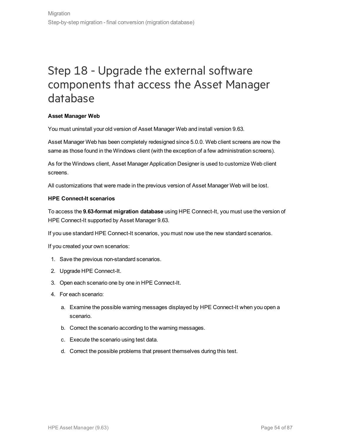## <span id="page-53-2"></span>Step 18 - Upgrade the external software components that access the Asset Manager database

### <span id="page-53-0"></span>**Asset Manager Web**

You must uninstall your old version of Asset Manager Web and install version 9.63.

Asset Manager Web has been completely redesigned since 5.0.0. Web client screens are now the same as those found in the Windows client (with the exception of a few administration screens).

As for the Windows client, Asset Manager Application Designer is used to customize Web client screens.

<span id="page-53-1"></span>All customizations that were made in the previous version of Asset Manager Web will be lost.

#### **HPE Connect-It scenarios**

To access the **9.63-format migration database** using HPE Connect-It, you must use the version of HPE Connect-It supported by Asset Manager 9.63.

If you use standard HPE Connect-It scenarios, you must now use the new standard scenarios.

If you created your own scenarios:

- 1. Save the previous non-standard scenarios.
- 2. Upgrade HPE Connect-It.
- 3. Open each scenario one by one in HPE Connect-It.
- 4. For each scenario:
	- a. Examine the possible warning messages displayed by HPE Connect-It when you open a scenario.
	- b. Correct the scenario according to the warning messages.
	- c. Execute the scenario using test data.
	- d. Correct the possible problems that present themselves during this test.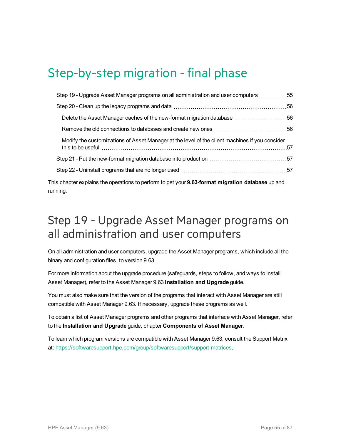# Step-by-step migration - final phase

| 5555 Step 19 - Upgrade Asset Manager programs on all administration and user computers 55                                                                                                                        |  |
|------------------------------------------------------------------------------------------------------------------------------------------------------------------------------------------------------------------|--|
|                                                                                                                                                                                                                  |  |
|                                                                                                                                                                                                                  |  |
|                                                                                                                                                                                                                  |  |
| Modify the customizations of Asset Manager at the level of the client machines if you consider<br>this to be useful measure the content of the set of the set of the set of the set of the set of the set of the |  |
|                                                                                                                                                                                                                  |  |
|                                                                                                                                                                                                                  |  |
| $\alpha$ chanter evoluing the operations to perform to get you <b>r Q 63 format migration database</b> up and                                                                                                    |  |

This chapter explains the operations to perform to get your **9.63-format migration database** up and running.

### <span id="page-54-0"></span>Step 19 - Upgrade Asset Manager programs on all administration and user computers

On all administration and user computers, upgrade the Asset Manager programs, which include all the binary and configuration files, to version 9.63.

For more information about the upgrade procedure (safeguards, steps to follow, and ways to install Asset Manager), refer to the Asset Manager 9.63 **Installation and Upgrade** guide.

You must also make sure that the version of the programs that interact with Asset Manager are still compatible with Asset Manager 9.63. If necessary, upgrade these programs as well.

To obtain a list of Asset Manager programs and other programs that interface with Asset Manager, refer to the **Installation and Upgrade** guide, chapter **Components of Asset Manager**.

To learn which program versions are compatible with Asset Manager 9.63, consult the Support Matrix at: <https://softwaresupport.hpe.com/group/softwaresupport/support-matrices>.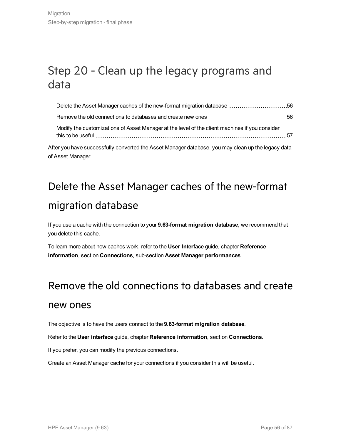## <span id="page-55-0"></span>Step 20 - Clean up the legacy programs and data

| Modify the customizations of Asset Manager at the level of the client machines if you consider   |  |
|--------------------------------------------------------------------------------------------------|--|
| ter you have successfully converted the Asset Manager database, you may clean up the legacy data |  |

<span id="page-55-1"></span>After you have successfully converted the Asset Manager database, you may clean up the legacy of Asset Manager.

# Delete the Asset Manager caches of the new-format migration database

If you use a cache with the connection to your **9.63-format migration database**, we recommend that you delete this cache.

<span id="page-55-2"></span>To learn more about how caches work, refer to the **User Interface** guide, chapter **Reference information**, section **Connections**, sub-section **Asset Manager performances**.

### Remove the old connections to databases and create

### new ones

The objective is to have the users connect to the **9.63-format migration database**.

Refer to the **User interface** guide, chapter **Reference information**, section **Connections**.

If you prefer, you can modify the previous connections.

Create an Asset Manager cache for your connections if you consider this will be useful.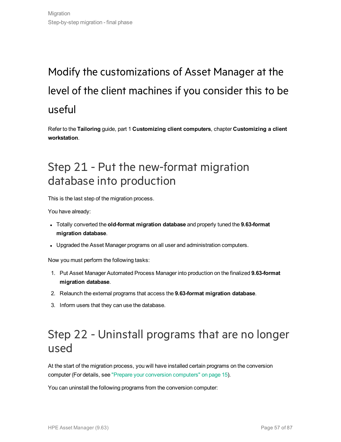# <span id="page-56-0"></span>Modify the customizations of Asset Manager at the level of the client machines if you consider this to be useful

Refer to the **Tailoring** guide, part 1 **Customizing client computers**, chapter **Customizing a client workstation**.

## <span id="page-56-1"></span>Step 21 - Put the new-format migration database into production

This is the last step of the migration process.

You have already:

- <sup>l</sup> Totally converted the **old-format migration database** and properly tuned the **9.63-format migration database**.
- Upgraded the Asset Manager programs on all user and administration computers.

Now you must perform the following tasks:

- 1. Put Asset Manager Automated Process Manager into production on the finalized **9.63-format migration database**.
- 2. Relaunch the external programs that access the **9.63-format migration database**.
- 3. Inform users that they can use the database.

## <span id="page-56-2"></span>Step 22 - Uninstall programs that are no longer used

At the start of the migration process, you will have installed certain programs on the conversion computer (For details, see "Prepare your conversion [computers"](#page-14-0) on page 15).

You can uninstall the following programs from the conversion computer: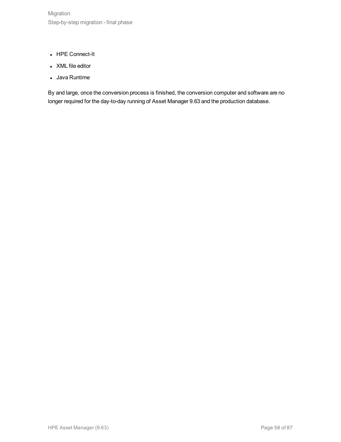- HPE Connect-It
- XML file editor
- Java Runtime

By and large, once the conversion process is finished, the conversion computer and software are no longer required for the day-to-day running of Asset Manager 9.63 and the production database.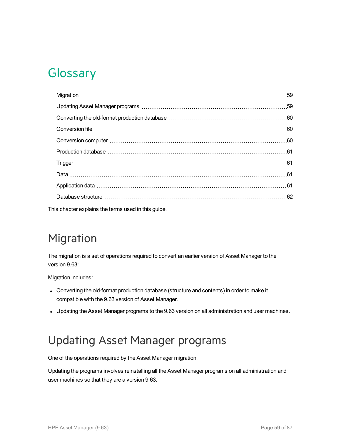# **Glossary**

This chapter explains the terms used in this guide.

# <span id="page-58-0"></span>Migration

The migration is a set of operations required to convert an earlier version of Asset Manager to the version 9.63:

Migration includes:

- Converting the old-format production database (structure and contents) in order to make it compatible with the 9.63 version of Asset Manager.
- Updating the Asset Manager programs to the 9.63 version on all administration and user machines.

## <span id="page-58-1"></span>Updating Asset Manager programs

One of the operations required by the Asset Manager migration.

Updating the programs involves reinstalling all the Asset Manager programs on all administration and user machines so that they are a version 9.63.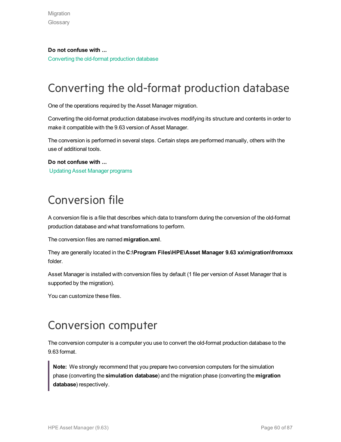**Do not confuse with ...** [Converting](#page-59-0) the old-format production database

# <span id="page-59-0"></span>Converting the old-format production database

One of the operations required by the Asset Manager migration.

Converting the old-format production database involves modifying its structure and contents in order to make it compatible with the 9.63 version of Asset Manager.

The conversion is performed in several steps. Certain steps are performed manually, others with the use of additional tools.

**Do not confuse with ...** Updating Asset Manager [programs](#page-58-1)

# <span id="page-59-1"></span>Conversion file

A conversion file is a file that describes which data to transform during the conversion of the old-format production database and what transformations to perform.

The conversion files are named **migration.xml**.

They are generally located in the **C:\Program Files\HPE\Asset Manager 9.63 xx\migration\fromxxx** folder.

Asset Manager is installed with conversion files by default (1 file per version of Asset Manager that is supported by the migration).

You can customize these files.

## <span id="page-59-2"></span>Conversion computer

The conversion computer is a computer you use to convert the old-format production database to the 9.63 format.

**Note:** We strongly recommend that you prepare two conversion computers for the simulation phase (converting the **simulation database**) and the migration phase (converting the **migration database**) respectively.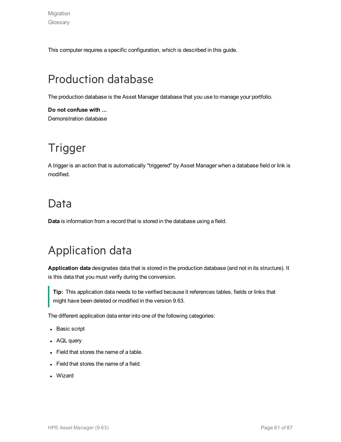This computer requires a specific configuration, which is described in this guide.

# <span id="page-60-0"></span>Production database

The production database is the Asset Manager database that you use to manage your portfolio.

**Do not confuse with ...** Demonstration database

# <span id="page-60-1"></span>Trigger

A trigger is an action that is automatically "triggered" by Asset Manager when a database field or link is modified.

### <span id="page-60-2"></span>Data

**Data** is information from a record that is stored in the database using a field.

## <span id="page-60-3"></span>Application data

**Application data** designates data that is stored in the production database (and not in its structure). It is this data that you must verify during the conversion.

**Tip:** This application data needs to be verified because it references tables, fields or links that might have been deleted or modified in the version 9.63.

The different application data enter into one of the following categories:

- Basic script
- AQL query
- $\bullet$  Field that stores the name of a table.
- $\bullet$  Field that stores the name of a field.
- Wizard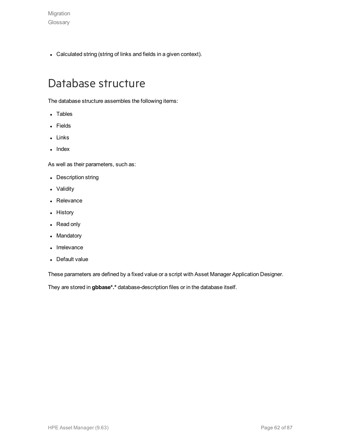• Calculated string (string of links and fields in a given context).

### <span id="page-61-0"></span>Database structure

The database structure assembles the following items:

- Tables
- Fields
- Links
- $\cdot$  Index

As well as their parameters, such as:

- Description string
- Validity
- Relevance
- History
- Read only
- Mandatory
- Irrelevance
- Default value

These parameters are defined by a fixed value or a script with Asset Manager Application Designer.

They are stored in **gbbase\*.\*** database-description files or in the database itself.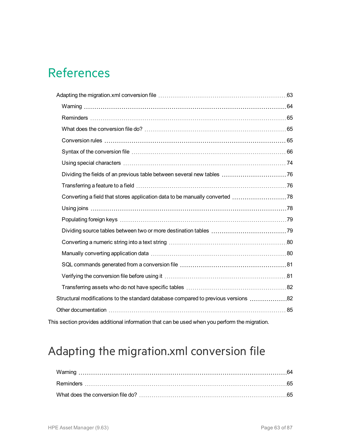# References

| Structural modifications to the standard database compared to previous versions 82 |  |
|------------------------------------------------------------------------------------|--|
|                                                                                    |  |
|                                                                                    |  |

This section provides additional information that can be used when you perform the migration.

## <span id="page-62-0"></span>Adapting the migration.xml conversion file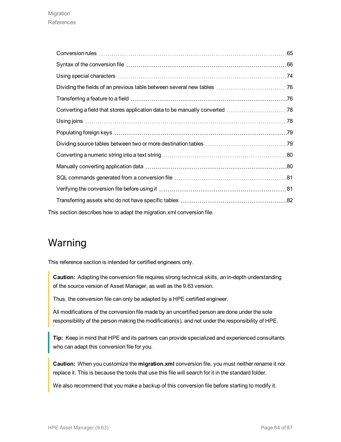| This section describes how to adapt the migration xml conversion file. |  |
|------------------------------------------------------------------------|--|

### <span id="page-63-0"></span>Warning

This reference section is intended for certified engineers only.

**Caution:** Adapting the conversion file requires strong technical skills, an in-depth understanding of the source version of Asset Manager, as well as the 9.63 version.

Thus, the conversion file can only be adapted by a HPE certified engineer.

All modifications of the conversion file made by an uncertified person are done under the sole responsibility of the person making the modification(s), and not under the responsibility of HPE.

**Tip:** Keep in mind that HPE and its partners can provide specialized and experienced consultants who can adapt this conversion file for you.

**Caution:** When you customize the **migration.xml** conversion file, you must neither rename it nor replace it. This is because the tools that use this file will search for it in the standard folder.

We also recommend that you make a backup of this conversion file before starting to modify it.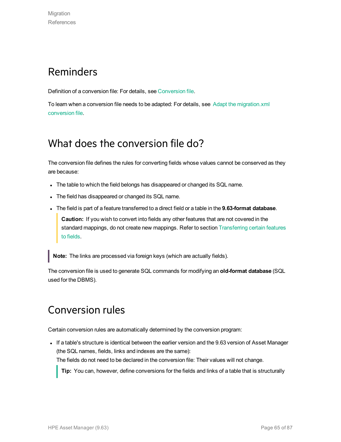### <span id="page-64-0"></span>Reminders

Definition of a conversion file: For details, see [Conversion](#page-59-1) file.

<span id="page-64-1"></span>To learn when a conversion file needs to be adapted: For details, see Adapt the [migration.xml](#page-31-1) [conversion](#page-31-1) file.

### What does the conversion file do?

The conversion file defines the rules for converting fields whose values cannot be conserved as they are because:

- The table to which the field belongs has disappeared or changed its SQL name.
- The field has disappeared or changed its SQL name.
- <sup>l</sup> The field is part of a feature transferred to a direct field or a table in the **9.63-format database**.

**Caution:** If you wish to convert into fields any other features that are not covered in the standard mappings, do not create new mappings. Refer to section Transferring certain features to fields.

**Note:** The links are processed via foreign keys (which are actually fields).

<span id="page-64-2"></span>The conversion file is used to generate SQL commands for modifying an **old-format database** (SQL used for the DBMS).

### Conversion rules

Certain conversion rules are automatically determined by the conversion program:

If a table's structure is identical between the earlier version and the 9.63 version of Asset Manager (the SQL names, fields, links and indexes are the same): The fields do not need to be declared in the conversion file: Their values will not change.

**Tip:** You can, however, define conversions for the fields and links of a table that is structurally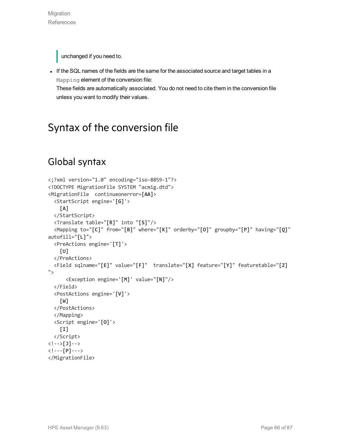unchanged if you need to.

If the SQL names of the fields are the same for the associated source and target tables in a Mapping element of the conversion file:

<span id="page-65-0"></span>These fields are automatically associated. You do not need to cite them in the conversion file unless you want to modify their values.

### Syntax of the conversion file

### Global syntax

```
<;?xml version="1.0" encoding="iso-8859-1"?>
<!DOCTYPE MigrationFile SYSTEM "acmig.dtd">
<MigrationFile continueonerror=[AA]>
  <StartScript engine='[G]'>
    [A]
  </StartScript>
  <Translate table="[R]" into "[S]"/>
  <Mapping to="[C]" from="[B]" where="[K]" orderby="[O]" groupby="[P]" having="[Q]"
autofill="[L]">
  <PreActions engine='[T]'>
    [U]
  </PreActions>
  <Field sqlname="[E]" value="[F]" translate="[X] feature="[Y]" featuretable="[Z]
">
      <Exception engine='[M]' value="[N]"/>
  </Field>
  <PostActions engine='[V]'>
    [W]
  </PostActions>
  </Mapping>
  <Script engine='[O]'>
    [I]
  </Script>
<!-->[J]-->
<!---[P]--->
</MigrationFile>
```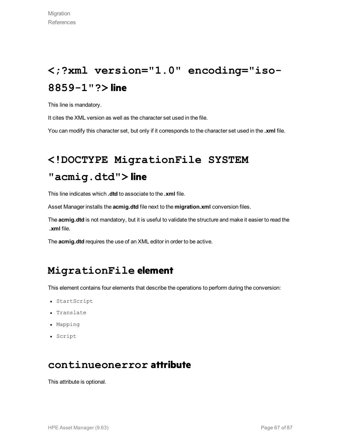# **<;?xml version="1.0" encoding="iso-8859-1"?> line**

This line is mandatory.

It cites the XML version as well as the character set used in the file.

You can modify this character set, but only if it corresponds to the character set used in the **.xml** file.

## **<!DOCTYPE MigrationFile SYSTEM**

### **"acmig.dtd"> line**

This line indicates which **.dtd** to associate to the **.xml** file.

Asset Manager installs the **acmig.dtd** file next to the **migration.xml** conversion files.

The **acmig.dtd** is not mandatory, but it is useful to validate the structure and make it easier to read the **.xml** file.

The **acmig.dtd** requires the use of an XML editor in order to be active.

### **MigrationFile element**

This element contains four elements that describe the operations to perform during the conversion:

- StartScript
- Translate
- Mapping
- Script

### **continueonerror attribute**

This attribute is optional.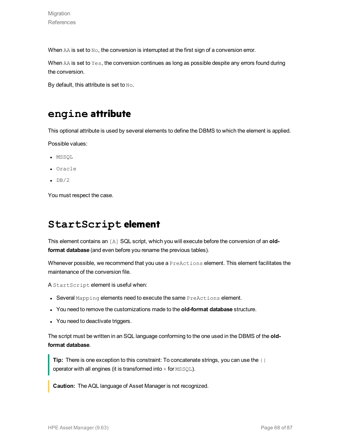When AA is set to No, the conversion is interrupted at the first sign of a conversion error.

When  $AA$  is set to  $Yes$ , the conversion continues as long as possible despite any errors found during the conversion.

By default, this attribute is set to No.

### **engine attribute**

This optional attribute is used by several elements to define the DBMS to which the element is applied.

Possible values:

- MSSQL
- <sup>l</sup> Oracle
- $\cdot$  DB/2

You must respect the case.

### **StartScript element**

This element contains an [A] SQL script, which you will execute before the conversion of an **oldformat database** (and even before you rename the previous tables).

Whenever possible, we recommend that you use a **PreActions** element. This element facilitates the maintenance of the conversion file.

A StartScript element is useful when:

- Several Mapping elements need to execute the same PreActions element.
- <sup>l</sup> You need to remove the customizations made to the **old-format database** structure.
- You need to deactivate triggers.

The script must be written in an SQL language conforming to the one used in the DBMS of the **oldformat database**.

**Tip:** There is one exception to this constraint: To concatenate strings, you can use the || operator with all engines (it is transformed into  $+$  for  $MSSQL$ ).

**Caution:** The AQL language of Asset Manager is not recognized.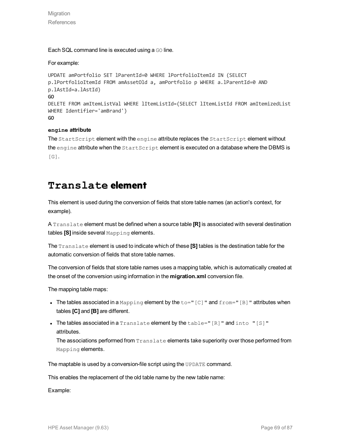Migration **References** 

Each SQL command line is executed using a GO line.

#### For example:

```
UPDATE amPortfolio SET lParentId=0 WHERE lPortfolioItemId IN (SELECT
p.lPortfolioItemId FROM amAssetOld a, amPortfolio p WHERE a.lParentId=0 AND
p.lAstId=a.lAstId)
GO
DELETE FROM amItemListVal WHERE lItemListId=(SELECT lItemListId FROM amItemizedList
WHERE Identifier='amBrand')
GO
```
#### **engine attribute**

The StartScript element with the engine attribute replaces the StartScript element without the engine attribute when the StartScript element is executed on a database where the DBMS is [G].

### **Translate element**

This element is used during the conversion of fields that store table names (an action's context, for example).

A Translate element must be defined when a source table **[R]** is associated with several destination tables **[S]** inside several Mapping elements.

The Translate element is used to indicate which of these **[S]** tables is the destination table for the automatic conversion of fields that store table names.

The conversion of fields that store table names uses a mapping table, which is automatically created at the onset of the conversion using information in the **migration.xml** conversion file.

The mapping table maps:

- The tables associated in a Mapping element by the  $\text{to}=$ "[C]" and  $\text{from}=$ "[B]" attributes when tables **[C]** and **[B]** are different.
- The tables associated in a  $Translate$  element by the  $table=" [R] "and into " [S] "$ attributes.

The associations performed from Translate elements take superiority over those performed from Mapping elements.

The maptable is used by a conversion-file script using the UPDATE command.

This enables the replacement of the old table name by the new table name:

Example: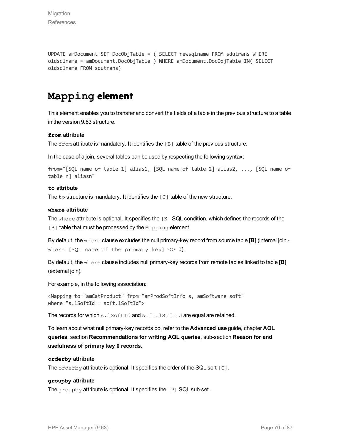UPDATE amDocument SET DocObjTable = ( SELECT newsqlname FROM sdutrans WHERE oldsqlname = amDocument.DocObjTable ) WHERE amDocument.DocObjTable IN( SELECT oldsqlname FROM sdutrans)

### **Mapping element**

This element enables you to transfer and convert the fields of a table in the previous structure to a table in the version 9.63 structure.

#### **from attribute**

The from attribute is mandatory. It identifies the [B] table of the previous structure.

In the case of a join, several tables can be used by respecting the following syntax:

```
from="[SQL name of table 1] alias1, [SQL name of table 2] alias2, ..., [SQL name of
table n] aliasn"
```
#### **to attribute**

The  $t_0$  structure is mandatory. It identifies the  $\lceil c \rceil$  table of the new structure.

#### **where attribute**

The where attribute is optional. It specifies the  $[K]$  SQL condition, which defines the records of the [B] table that must be processed by the Mapping element.

By default, the where clause excludes the null primary-key record from source table **[B]** (internal join where  $[SQL$  name of the primary key]  $\langle$  > 0).

By default, the where clause includes null primary-key records from remote tables linked to table **[B]** (external join).

For example, in the following association:

```
<Mapping to="amCatProduct" from="amProdSoftInfo s, amSoftware soft"
where="s.lSoftId = soft.lSoftId">
```
The records for which s. lSoftId and soft.lSoftId are equal are retained.

To learn about what null primary-key records do, refer to the **Advanced use** guide, chapter **AQL queries**, section **Recommendations for writing AQL queries**, sub-section **Reason for and usefulness of primary key 0 records**.

#### **orderby attribute**

The orderby attribute is optional. It specifies the order of the SQL sort [O].

#### **groupby attribute**

The groupby attribute is optional. It specifies the [P] SQL sub-set.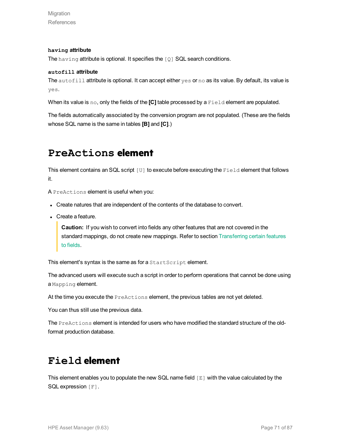Migration **References** 

#### **having attribute**

The having attribute is optional. It specifies the [Q] SQL search conditions.

#### **autofill attribute**

The autofill attribute is optional. It can accept either yes or no as its value. By default, its value is yes.

When its value is no, only the fields of the **[C]** table processed by a Field element are populated.

The fields automatically associated by the conversion program are not populated. (These are the fields whose SQL name is the same in tables **[B]** and **[C]**.)

### **PreActions element**

This element contains an SQL script [U] to execute before executing the Field element that follows it.

A PreActions element is useful when you:

- Create natures that are independent of the contents of the database to convert.
- Create a feature.

**Caution:** If you wish to convert into fields any other features that are not covered in the standard mappings, do not create new mappings. Refer to section Transferring certain features to fields.

This element's syntax is the same as for a StartScript element.

The advanced users will execute such a script in order to perform operations that cannot be done using a Mapping element.

At the time you execute the PreActions element, the previous tables are not yet deleted.

You can thus still use the previous data.

The PreActions element is intended for users who have modified the standard structure of the oldformat production database.

### **Field element**

This element enables you to populate the new SQL name field [E] with the value calculated by the SQL expression [F].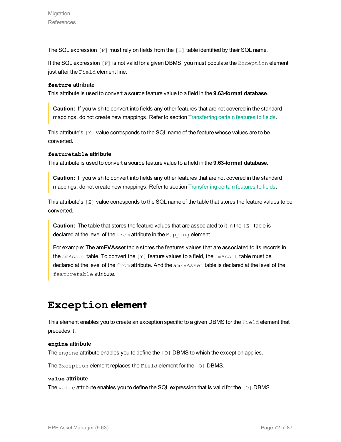The SQL expression  $[F]$  must rely on fields from the  $[B]$  table identified by their SQL name.

If the SQL expression  $[F]$  is not valid for a given DBMS, you must populate the  $Exception$  element just after the Field element line.

#### **feature attribute**

This attribute is used to convert a source feature value to a field in the **9.63-format database**.

**Caution:** If you wish to convert into fields any other features that are not covered in the standard mappings, do not create new mappings. Refer to section Transferring certain features to fields.

This attribute's  $[Y]$  value corresponds to the SQL name of the feature whose values are to be converted.

#### **featuretable attribute**

This attribute is used to convert a source feature value to a field in the **9.63-format database**.

**Caution:** If you wish to convert into fields any other features that are not covered in the standard mappings, do not create new mappings. Refer to section Transferring certain features to fields.

This attribute's [Z] value corresponds to the SQL name of the table that stores the feature values to be converted.

**Caution:** The table that stores the feature values that are associated to it in the [Z] table is declared at the level of the from attribute in the Mapping element.

For example: The **amFVAsset** table stores the features values that are associated to its records in the amAsset table. To convert the [Y] feature values to a field, the amAsset table must be declared at the level of the from attribute. And the amFVAsset table is declared at the level of the featuretable attribute.

### **Exception element**

This element enables you to create an exception specific to a given DBMS for the Field element that precedes it.

#### **engine attribute**

The engine attribute enables you to define the [O] DBMS to which the exception applies.

The Exception element replaces the Field element for the [O] DBMS.

#### **value attribute**

The value attribute enables you to define the SQL expression that is valid for the  $\lceil 0 \rceil$  DBMS.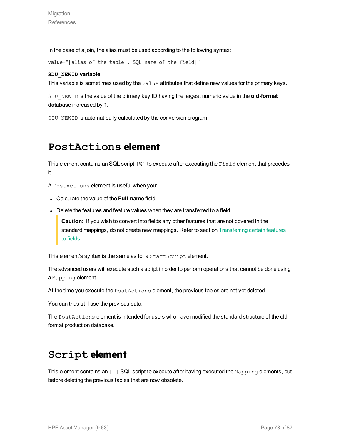In the case of a join, the alias must be used according to the following syntax:

value="[alias of the table].[SQL name of the field]"

#### **SDU\_NEWID variable**

This variable is sometimes used by the value attributes that define new values for the primary keys.

SDU\_NEWID is the value of the primary key ID having the largest numeric value in the **old-format database** increased by 1.

SDU NEWID is automatically calculated by the conversion program.

### **PostActions element**

This element contains an SQL script [W] to execute after executing the Field element that precedes it.

A PostActions element is useful when you:

- <sup>l</sup> Calculate the value of the **Full name** field.
- Delete the features and feature values when they are transferred to a field.

**Caution:** If you wish to convert into fields any other features that are not covered in the standard mappings, do not create new mappings. Refer to section Transferring certain features to fields.

This element's syntax is the same as for a StartScript element.

The advanced users will execute such a script in order to perform operations that cannot be done using a Mapping element.

At the time you execute the PostActions element, the previous tables are not yet deleted.

You can thus still use the previous data.

The PostActions element is intended for users who have modified the standard structure of the oldformat production database.

### **Script element**

This element contains an [I] SQL script to execute after having executed the Mapping elements, but before deleting the previous tables that are now obsolete.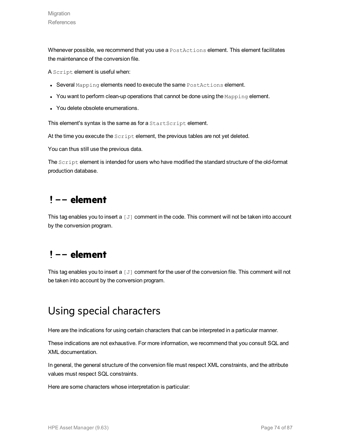Whenever possible, we recommend that you use a PostActions element. This element facilitates the maintenance of the conversion file.

A Script element is useful when:

- $\bullet$  Several Mapping elements need to execute the same  $\texttt{Postactions}$  element.
- $\bullet$  You want to perform clean-up operations that cannot be done using the  $\text{Mapping}$  element.
- You delete obsolete enumerations.

This element's syntax is the same as for a StartScript element.

At the time you execute the script element, the previous tables are not yet deleted.

You can thus still use the previous data.

The Script element is intended for users who have modified the standard structure of the old-format production database.

### **!-- element**

This tag enables you to insert a [J] comment in the code. This comment will not be taken into account by the conversion program.

### **!-- element**

This tag enables you to insert a [J] comment for the user of the conversion file. This comment will not be taken into account by the conversion program.

### Using special characters

Here are the indications for using certain characters that can be interpreted in a particular manner.

These indications are not exhaustive. For more information, we recommend that you consult SQL and XML documentation.

In general, the general structure of the conversion file must respect XML constraints, and the attribute values must respect SQL constraints.

Here are some characters whose interpretation is particular: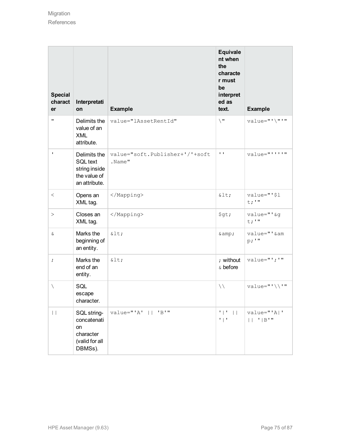| <b>Special</b><br>charact<br>er | Interpretati<br>on                                                                | <b>Example</b>                           | <b>Equivale</b><br>nt when<br>the<br>characte<br>r must<br>be<br>interpret<br>ed as<br>text. | <b>Example</b>                                    |
|---------------------------------|-----------------------------------------------------------------------------------|------------------------------------------|----------------------------------------------------------------------------------------------|---------------------------------------------------|
| $\mathbf{H}$                    | Delimits the<br>value of an<br><b>XML</b><br>attribute.                           | value="lAssetRentId"                     | $\setminus$                                                                                  | value="'\"'"                                      |
| $\mathbf I$                     | Delimits the<br><b>SQL text</b><br>string inside<br>the value of<br>an attribute. | value="soft.Publisher+'/'+soft<br>.Name" | $\mathbf{I}-\mathbf{I}$                                                                      | value="''''"                                      |
| $\,<\,$                         | Opens an<br>XML tag.                                                              |                                          | $<$ :                                                                                        | value="'\$1<br>$t$ ; $"$                          |
| >                               | Closes an<br>XML tag.                                                             |                                          | \$gt;                                                                                        | value="' &g<br>$t$ ; $"$                          |
| $\delta$                        | Marks the<br>beginning of<br>an entity.                                           | $<$ :                                    | $\&amp;$ ;                                                                                   | value="' & am<br>p: "                             |
| $\ddot{ }$                      | Marks the<br>end of an<br>entity.                                                 | <                                        | ; without<br>& before                                                                        | value="';'"                                       |
| $\setminus$                     | SQL<br>escape<br>character.                                                       |                                          | $\setminus \setminus$                                                                        | value="'\\'"                                      |
| $\vert \ \vert$                 | SQL string-<br>concatenati<br>on<br>character<br>(valid for all<br>DBMSs).        | $value="'A'$    'B'"                     | $\mathbf{F} \parallel \mathbf{F}$<br>$\Box$<br>$"$   $"$                                     | value="'A '<br>$  $ $  $ $  $ $  $ $  $ $  $ $  $ |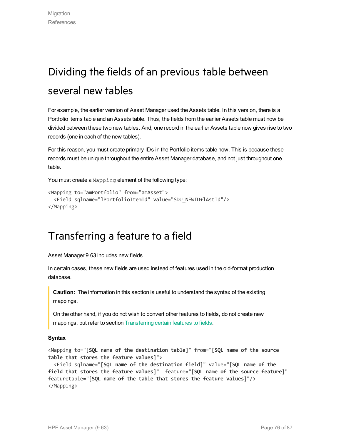# Dividing the fields of an previous table between several new tables

For example, the earlier version of Asset Manager used the Assets table. In this version, there is a Portfolio items table and an Assets table. Thus, the fields from the earlier Assets table must now be divided between these two new tables. And, one record in the earlier Assets table now gives rise to two records (one in each of the new tables).

For this reason, you must create primary IDs in the Portfolio items table now. This is because these records must be unique throughout the entire Asset Manager database, and not just throughout one table.

You must create a Mapping element of the following type:

```
<Mapping to="amPortfolio" from="amAsset">
 <Field sqlname="lPortfolioItemId" value="SDU_NEWID+lAstId"/>
</Mapping>
```
### Transferring a feature to a field

Asset Manager 9.63 includes new fields.

In certain cases, these new fields are used instead of features used in the old-format production database.

**Caution:** The information in this section is useful to understand the syntax of the existing mappings.

On the other hand, if you do not wish to convert other features to fields, do not create new mappings, but refer to section Transferring certain features to fields.

### **Syntax**

<Mapping to="**[SQL name of the destination table]**" from="**[SQL name of the source table that stores the feature values]**">

<Field sqlname="**[SQL name of the destination field]**" value="**[SQL name of the field that stores the feature values]**" feature="**[SQL name of the source feature]**" featuretable="**[SQL name of the table that stores the feature values]**"/> </Mapping>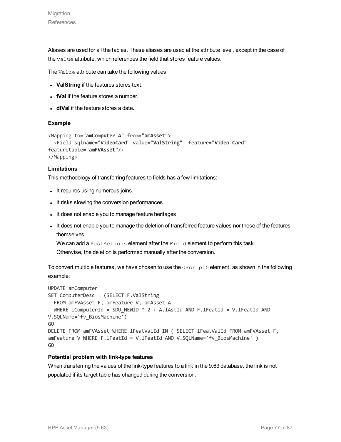Aliases are used for all the tables. These aliases are used at the attribute level, except in the case of the value attribute, which references the field that stores feature values.

The Value attribute can take the following values:

- ValString if the features stores text.
- **IVal** if the feature stores a number.
- **dtVal** if the feature stores a date.

#### **Example**

```
<Mapping to="amComputer A" from="amAsset">
  <Field sqlname="VideoCard" value="ValString" feature="Video Card"
featuretable="amFVAsset"/>
</Mapping>
```
### **Limitations**

This methodology of transferring features to fields has a few limitations:

- It requires using numerous joins.
- It risks slowing the conversion performances.
- It does not enable you to manage feature heritages.
- It does not enable you to manage the deletion of transferred feature values nor those of the features themselves.

We can add a PostActions element after the Field element to perform this task.

Otherwise, the deletion is performed manually after the conversion.

To convert multiple features, we have chosen to use the  $\langle \text{Script} \rangle$  element, as shown in the following example:

```
UPDATE amComputer
SET ComputerDesc = (SELECT F.ValString
  FROM amFVAsset F, amFeature V, amAsset A
 WHERE lComputerId = SDU_NEWID * 2 + A.lAstId AND F.lFeatId = V.lFeatId AND
V.SQLName='fv_BiosMachine')
GO
DELETE FROM amFVAsset WHERE lFeatValId IN ( SELECT lFeatValId FROM amFVAsset F,
amFeature V WHERE F.1FeatId = V.1FeatId AND V.SQLName='fv BiosMachine' )
GO
```
#### **Potential problem with link-type features**

When transferring the values of the link-type features to a link in the 9.63 database, the link is not populated if its target table has changed during the conversion.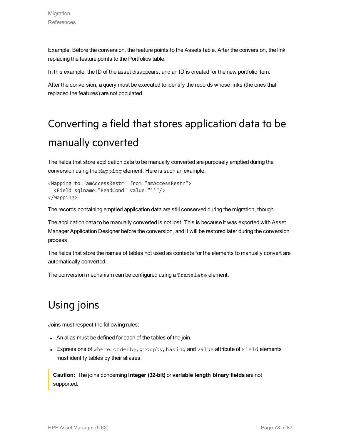Example: Before the conversion, the feature points to the Assets table. After the conversion, the link replacing the feature points to the Portfolios table.

In this example, the ID of the asset disappears, and an ID is created for the new portfolio item.

After the conversion, a query must be executed to identify the records whose links (the ones that replaced the features) are not populated.

# Converting a field that stores application data to be manually converted

The fields that store application data to be manually converted are purposely emptied during the conversion using the Mapping element. Here is such an example:

```
<Mapping to="amAccessRestr" from="amAccessRestr">
 <Field sqlname="ReadCond" value="''"/>
</Mapping>
```
The records containing emptied application data are still conserved during the migration, though.

The application data to be manually converted is not lost. This is because it was exported with Asset Manager Application Designer before the conversion, and it will be restored later during the conversion process.

The fields that store the names of tables not used as contexts for the elements to manually convert are automatically converted.

The conversion mechanism can be configured using a Translate element.

# Using joins

Joins must respect the following rules:

- An alias must be defined for each of the tables of the join.
- Expressions of where, orderby, groupby, having and value attribute of Field elements must identify tables by their aliases.

**Caution:** The joins concerning **Integer (32-bit)** or **variable length binary fields** are not supported.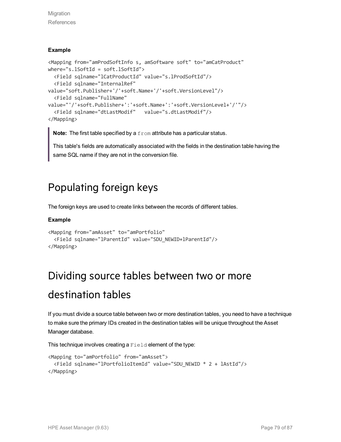Migration **References** 

### **Example**

```
<Mapping from="amProdSoftInfo s, amSoftware soft" to="amCatProduct"
where="s.lSoftId = soft.lSoftId">
  <Field sqlname="lCatProductId" value="s.lProdSoftId"/>
  <Field sqlname="InternalRef"
value="soft.Publisher+'/'+soft.Name+'/'+soft.VersionLevel"/>
  <Field sqlname="FullName"
value="'/'+soft.Publisher+':'+soft.Name+':'+soft.VersionLevel+'/'"/>
  <Field sqlname="dtLastModif" value="s.dtLastModif"/>
</Mapping>
```
**Note:** The first table specified by a from attribute has a particular status.

This table's fields are automatically associated with the fields in the destination table having the same SQL name if they are not in the conversion file.

### Populating foreign keys

The foreign keys are used to create links between the records of different tables.

### **Example**

```
<Mapping from="amAsset" to="amPortfolio"
  <Field sqlname="lParentId" value="SDU_NEWID+lParentId"/>
</Mapping>
```
# Dividing source tables between two or more

### destination tables

If you must divide a source table between two or more destination tables, you need to have a technique to make sure the primary IDs created in the destination tables will be unique throughout the Asset Manager database.

This technique involves creating a Field element of the type:

```
<Mapping to="amPortfolio" from="amAsset">
 <Field sqlname="lPortfolioItemId" value="SDU_NEWID * 2 + lAstId"/>
</Mapping>
```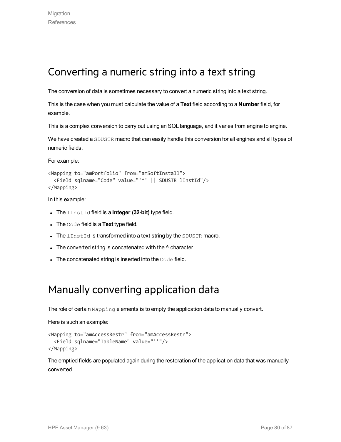### Converting a numeric string into a text string

The conversion of data is sometimes necessary to convert a numeric string into a text string.

This is the case when you must calculate the value of a **Text** field according to a **Number** field, for example.

This is a complex conversion to carry out using an SQL language, and it varies from engine to engine.

We have created a SDUSTR macro that can easily handle this conversion for all engines and all types of numeric fields.

For example:

```
<Mapping to="amPortfolio" from="amSoftInstall">
  <Field sqlname="Code" value="'^' || SDUSTR lInstId"/>
</Mapping>
```
In this example:

- **.** The lInstId field is a **Integer (32-bit)** type field.
- **.** The Code field is a Text type field.
- The lInstId is transformed into a text string by the SDUSTR macro.
- The converted string is concatenated with the **^** character.
- $\bullet$  The concatenated string is inserted into the Code field.

### Manually converting application data

The role of certain Mapping elements is to empty the application data to manually convert.

Here is such an example:

```
<Mapping to="amAccessRestr" from="amAccessRestr">
 <Field sqlname="TableName" value="''"/>
</Mapping>
```
The emptied fields are populated again during the restoration of the application data that was manually converted.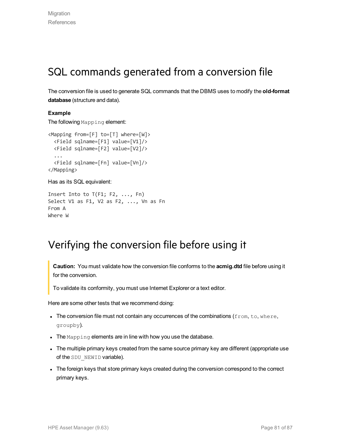### SQL commands generated from a conversion file

The conversion file is used to generate SQL commands that the DBMS uses to modify the **old-format database** (structure and data).

### **Example**

The following Mapping element:

```
<Mapping from=[F] to=[T] where=[W]>
 <Field sqlname=[F1] value=[V1]/>
 <Field sqlname=[F2] value=[V2]/>
  ...
 <Field sqlname=[Fn] value=[Vn]/>
</Mapping>
```
#### Has as its SQL equivalent:

```
Insert Into to T(F1; F2, ..., Fn)
Select V1 as F1, V2 as F2, ..., Vn as Fn
From A
Where W
```
### Verifying the conversion file before using it

**Caution:** You must validate how the conversion file conforms to the **acmig.dtd** file before using it for the conversion.

To validate its conformity, you must use Internet Explorer or a text editor.

Here are some other tests that we recommend doing:

- The conversion file must not contain any occurrences of the combinations ( $from, to, where$ , groupby).
- The Mapping elements are in line with how you use the database.
- The multiple primary keys created from the same source primary key are different (appropriate use of the SDU\_NEWID variable).
- The foreign keys that store primary keys created during the conversion correspond to the correct primary keys.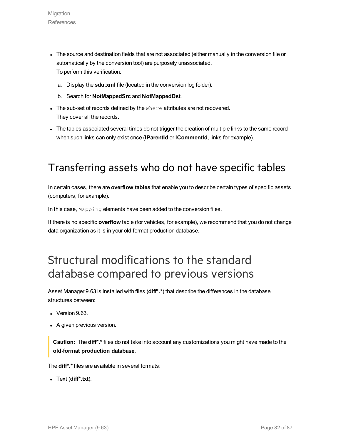- The source and destination fields that are not associated (either manually in the conversion file or automatically by the conversion tool) are purposely unassociated. To perform this verification:
	- a. Display the **sdu.xml** file (located in the conversion log folder).
	- b. Search for **NotMappedSrc** and **NotMappedDst**.
- The sub-set of records defined by the  $where$  attributes are not recovered. They cover all the records.
- The tables associated several times do not trigger the creation of multiple links to the same record when such links can only exist once (**lParentId** or **lCommentId**, links for example).

### Transferring assets who do not have specific tables

In certain cases, there are **overflow tables** that enable you to describe certain types of specific assets (computers, for example).

In this case, Mapping elements have been added to the conversion files.

If there is no specific **overflow** table (for vehicles, for example), we recommend that you do not change data organization as it is in your old-format production database.

# Structural modifications to the standard database compared to previous versions

Asset Manager 9.63 is installed with files (**diff\*.\***) that describe the differences in the database structures between:

- $\bullet$  Version 9.63.
- A given previous version.

**Caution:** The **diff\*.\*** files do not take into account any customizations you might have made to the **old-format production database**.

The **diff\*.\*** files are available in several formats:

<sup>l</sup> Text (**diff\*.txt**).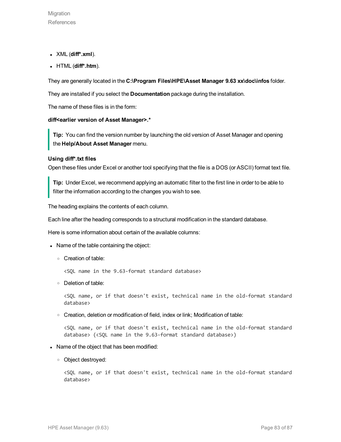- <sup>l</sup> XML (**diff\*.xml**).
- <sup>l</sup> HTML (**diff\*.htm**).

They are generally located in the **C:\Program Files\HPE\Asset Manager 9.63 xx\doc\infos** folder.

They are installed if you select the **Documentation** package during the installation.

The name of these files is in the form:

#### **diff<earlier version of Asset Manager>.\***

**Tip:** You can find the version number by launching the old version of Asset Manager and opening the **Help/About Asset Manager** menu.

#### **Using diff\*.txt files**

Open these files under Excel or another tool specifying that the file is a DOS (or ASCII) format text file.

**Tip:** Under Excel, we recommend applying an automatic filter to the first line in order to be able to filter the information according to the changes you wish to see.

The heading explains the contents of each column.

Each line after the heading corresponds to a structural modification in the standard database.

Here is some information about certain of the available columns:

- Name of the table containing the object:
	- <sup>o</sup> Creation of table:

<SQL name in the 9.63-format standard database>

<sup>o</sup> Deletion of table:

<SQL name, or if that doesn't exist, technical name in the old-format standard database>

<sup>o</sup> Creation, deletion or modification of field, index or link; Modification of table:

<SQL name, or if that doesn't exist, technical name in the old-format standard database> (<SQL name in the 9.63-format standard database>)

#### • Name of the object that has been modified:

<sup>o</sup> Object destroyed:

<SQL name, or if that doesn't exist, technical name in the old-format standard database>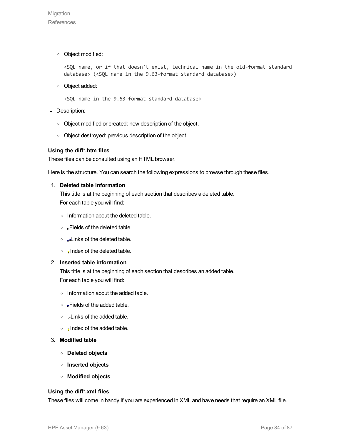<sup>o</sup> Object modified:

<SQL name, or if that doesn't exist, technical name in the old-format standard database> (<SQL name in the 9.63-format standard database>)

<sup>o</sup> Object added:

<SQL name in the 9.63-format standard database>

- Description:
	- o Object modified or created: new description of the object.
	- <sup>o</sup> Object destroyed: previous description of the object.

#### **Using the diff\*.htm files**

These files can be consulted using an HTML browser.

Here is the structure. You can search the following expressions to browse through these files.

#### 1. **Deleted table information**

This title is at the beginning of each section that describes a deleted table. For each table you will find:

- <sup>o</sup> Information about the deleted table.
- **Fields of the deleted table.**
- $\circ$   $\mathbb{L}$  inks of the deleted table.
- $\circ$  Index of the deleted table.

#### 2. **Inserted table information**

This title is at the beginning of each section that describes an added table. For each table you will find:

- <sup>o</sup> Information about the added table.
- $\circ$  **Fields of the added table.**
- $\circ$   $\Box$  Links of the added table.
- $\circ$  , Index of the added table.
- 3. **Modified table**
	- <sup>o</sup> **Deleted objects**
	- <sup>o</sup> **Inserted objects**
	- <sup>o</sup> **Modified objects**

#### **Using the diff\*.xml files**

These files will come in handy if you are experienced in XML and have needs that require an XML file.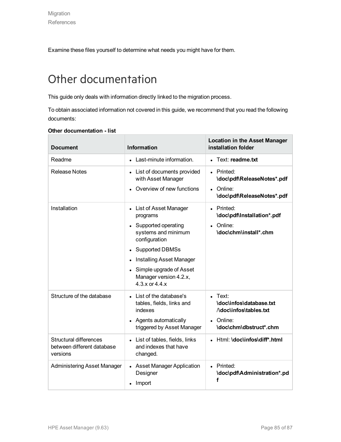Examine these files yourself to determine what needs you might have for them.

# Other documentation

This guide only deals with information directly linked to the migration process.

To obtain associated information not covered in this guide, we recommend that you read the following documents:

| <b>Document</b>                                                         | <b>Information</b>                                                                                                                                                                                                                                                                  | <b>Location in the Asset Manager</b><br>installation folder                                                    |
|-------------------------------------------------------------------------|-------------------------------------------------------------------------------------------------------------------------------------------------------------------------------------------------------------------------------------------------------------------------------------|----------------------------------------------------------------------------------------------------------------|
| Readme                                                                  | Last-minute information.                                                                                                                                                                                                                                                            | Text: readme.txt                                                                                               |
| <b>Release Notes</b>                                                    | • List of documents provided<br>with Asset Manager<br>Overview of new functions                                                                                                                                                                                                     | • Printed:<br>\doc\pdf\ReleaseNotes*.pdf<br>Online:<br>\doc\pdf\ReleaseNotes*.pdf                              |
| Installation                                                            | • List of Asset Manager<br>programs<br>• Supported operating<br>systems and minimum<br>configuration<br><b>Supported DBMSs</b><br>$\bullet$<br><b>Installing Asset Manager</b><br>$\bullet$<br>Simple upgrade of Asset<br>$\bullet$<br>Manager version 4.2.x,<br>$4.3.x$ or $4.4.x$ | Printed:<br>$\bullet$<br>\doc\pdf\Installation*.pdf<br>Online:<br>\doc\chm\install*.chm                        |
| Structure of the database                                               | List of the database's<br>tables, fields, links and<br>indexes<br>• Agents automatically<br>triggered by Asset Manager                                                                                                                                                              | $\blacksquare$ Text:<br>\doc\infos\database.txt<br>/\doc\infos\tables.txt<br>Online:<br>\doc\chm\dbstruct*.chm |
| <b>Structural differences</b><br>between different database<br>versions | • List of tables, fields, links<br>and indexes that have<br>changed.                                                                                                                                                                                                                | Html: \doc\infos\diff*.html                                                                                    |
| <b>Administering Asset Manager</b>                                      | • Asset Manager Application<br>Designer<br>Import                                                                                                                                                                                                                                   | • Printed:<br>\doc\pdf\Administration*.pd<br>f                                                                 |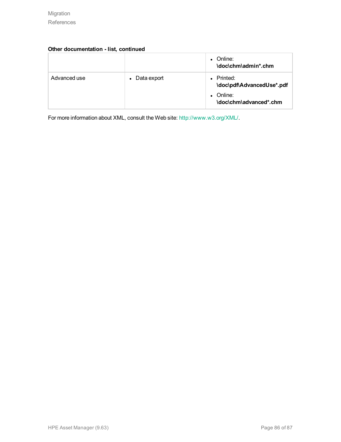### **Other documentation - list, continued**

|              |               | Online:<br>\doc\chm\admin*.chm        |
|--------------|---------------|---------------------------------------|
| Advanced use | • Data export | Printed:<br>\doc\pdf\AdvancedUse*.pdf |
|              |               | Online:<br>\doc\chm\advanced*.chm     |

For more information about XML, consult the Web site: <http://www.w3.org/XML/>.